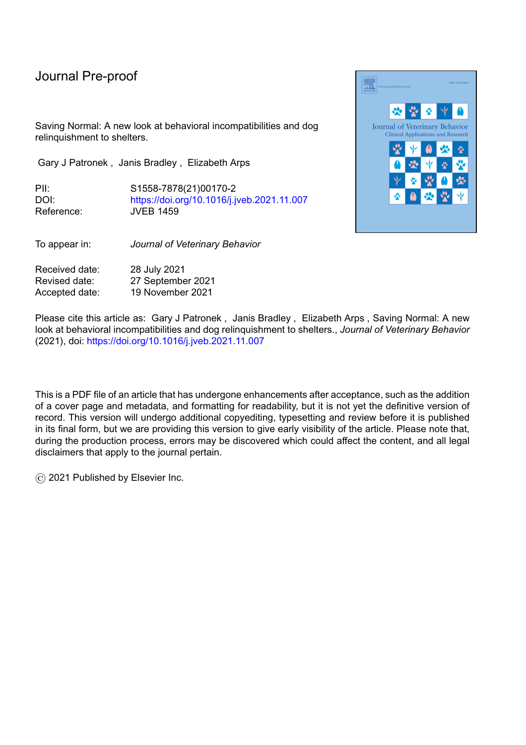Saving Normal: A new look at behavioral incompatibilities and dog relinquishment to shelters.

Gary J Patronek , Janis Bradley , Elizabeth Arps

PII: S1558-7878(21)00170-2 DOI: <https://doi.org/10.1016/j.jveb.2021.11.007> Reference: JVEB 1459

To appear in: *Journal of Veterinary Behavior*

Received date: 28 July 2021 Revised date: 27 September 2021 Accepted date: 19 November 2021

Please cite this article as: Gary J Patronek, Janis Bradley, Elizabeth Arps, Saving Normal: A new look at behavioral incompatibilities and dog relinquishment to shelters., *Journal of Veterinary Behavior* (2021), doi: <https://doi.org/10.1016/j.jveb.2021.11.007>

This is a PDF file of an article that has undergone enhancements after acceptance, such as the addition of a cover page and metadata, and formatting for readability, but it is not yet the definitive version of record. This version will undergo additional copyediting, typesetting and review before it is published in its final form, but we are providing this version to give early visibility of the article. Please note that, during the production process, errors may be discovered which could affect the content, and all legal disclaimers that apply to the journal pertain.

© 2021 Published by Elsevier Inc.

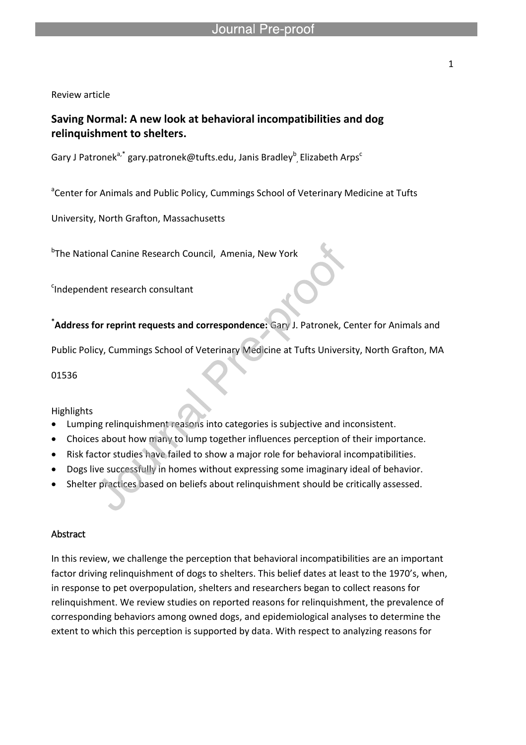Review article

### **Saving Normal: A new look at behavioral incompatibilities and dog relinquishment to shelters.**

Gary J Patronek $^{a,*}$  gary.patronek@tufts.edu, Janis Bradley $^b$ , Elizabeth Arps<sup>c</sup>

l

<sup>a</sup>Center for Animals and Public Policy, Cummings School of Veterinary Medicine at Tufts

University, North Grafton, Massachusetts

<sup>b</sup>The National Canine Research Council, Amenia, New York

<sup>c</sup>Independent research consultant

**\*Address for reprint requests and correspondence:** Gary J. Patronek, Center for Animals and

Public Policy, Cummings School of Veterinary Medicine at Tufts University, North Grafton, MA

01536

Highlights

- Lumping relinquishment reasons into categories is subjective and inconsistent.
- Choices about how many to lump together influences perception of their importance.
- Risk factor studies have failed to show a major role for behavioral incompatibilities.
- Dogs live successfully in homes without expressing some imaginary ideal of behavior.
- Shelter practices based on beliefs about relinquishment should be critically assessed.

#### Abstract

In this review, we challenge the perception that behavioral incompatibilities are an important factor driving relinquishment of dogs to shelters. This belief dates at least to the 1970's, when, in response to pet overpopulation, shelters and researchers began to collect reasons for relinquishment. We review studies on reported reasons for relinquishment, the prevalence of corresponding behaviors among owned dogs, and epidemiological analyses to determine the extent to which this perception is supported by data. With respect to analyzing reasons for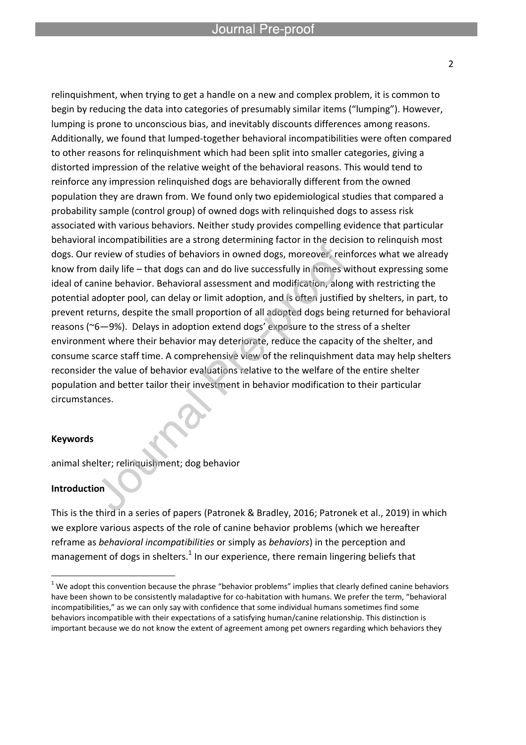relinquishment, when trying to get a handle on a new and complex problem, it is common to begin by reducing the data into categories of presumably similar items ("lumping"). However, lumping is prone to unconscious bias, and inevitably discounts differences among reasons. Additionally, we found that lumped-together behavioral incompatibilities were often compared to other reasons for relinquishment which had been split into smaller categories, giving a distorted impression of the relative weight of the behavioral reasons. This would tend to reinforce any impression relinquished dogs are behaviorally different from the owned population they are drawn from. We found only two epidemiological studies that compared a probability sample (control group) of owned dogs with relinquished dogs to assess risk associated with various behaviors. Neither study provides compelling evidence that particular behavioral incompatibilities are a strong determining factor in the decision to relinquish most dogs. Our review of studies of behaviors in owned dogs, moreover, reinforces what we already know from daily life – that dogs can and do live successfully in homes without expressing some ideal of canine behavior. Behavioral assessment and modification, along with restricting the potential adopter pool, can delay or limit adoption, and is often justified by shelters, in part, to prevent returns, despite the small proportion of all adopted dogs being returned for behavioral reasons (~6—9%). Delays in adoption extend dogs' exposure to the stress of a shelter environment where their behavior may deteriorate, reduce the capacity of the shelter, and consume scarce staff time. A comprehensive view of the relinquishment data may help shelters reconsider the value of behavior evaluations relative to the welfare of the entire shelter population and better tailor their investment in behavior modification to their particular circumstances.

#### **Keywords**

animal shelter; relinquishment; dog behavior

#### **Introduction**

 $\overline{a}$ 

This is the third in a series of papers (Patronek & Bradley, 2016; Patronek et al., 2019) in which we explore various aspects of the role of canine behavior problems (which we hereafter reframe as *behavioral incompatibilities* or simply as *behaviors*) in the perception and management of dogs in shelters.<sup>1</sup> In our experience, there remain lingering beliefs that

 $1$  We adopt this convention because the phrase "behavior problems" implies that clearly defined canine behaviors have been shown to be consistently maladaptive for co-habitation with humans. We prefer the term, "behavioral incompatibilities," as we can only say with confidence that some individual humans sometimes find some behaviors incompatible with their expectations of a satisfying human/canine relationship. This distinction is important because we do not know the extent of agreement among pet owners regarding which behaviors they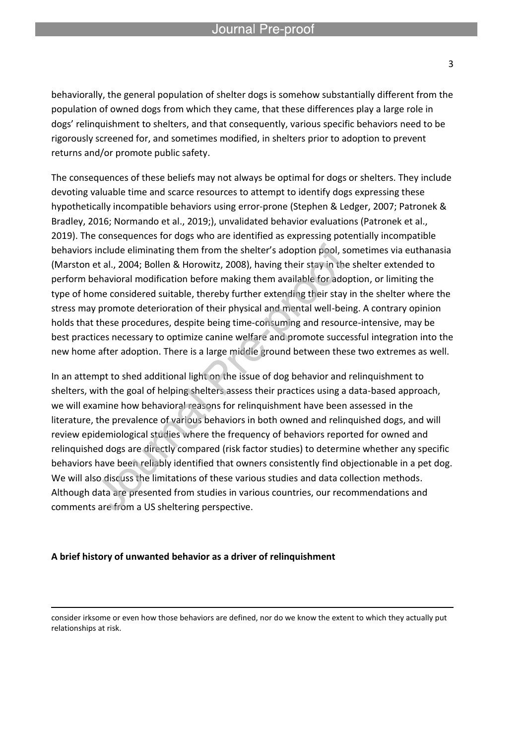l

behaviorally, the general population of shelter dogs is somehow substantially different from the population of owned dogs from which they came, that these differences play a large role in dogs' relinquishment to shelters, and that consequently, various specific behaviors need to be rigorously screened for, and sometimes modified, in shelters prior to adoption to prevent returns and/or promote public safety.

The consequences of these beliefs may not always be optimal for dogs or shelters. They include devoting valuable time and scarce resources to attempt to identify dogs expressing these hypothetically incompatible behaviors using error-prone (Stephen & Ledger, 2007; Patronek & Bradley, 2016; Normando et al., 2019;), unvalidated behavior evaluations (Patronek et al., 2019). The consequences for dogs who are identified as expressing potentially incompatible behaviors include eliminating them from the shelter's adoption pool, sometimes via euthanasia (Marston et al., 2004; Bollen & Horowitz, 2008), having their stay in the shelter extended to perform behavioral modification before making them available for adoption, or limiting the type of home considered suitable, thereby further extending their stay in the shelter where the stress may promote deterioration of their physical and mental well-being. A contrary opinion holds that these procedures, despite being time-consuming and resource-intensive, may be best practices necessary to optimize canine welfare and promote successful integration into the new home after adoption. There is a large middle ground between these two extremes as well.

In an attempt to shed additional light on the issue of dog behavior and relinquishment to shelters, with the goal of helping shelters assess their practices using a data-based approach, we will examine how behavioral reasons for relinquishment have been assessed in the literature, the prevalence of various behaviors in both owned and relinquished dogs, and will review epidemiological studies where the frequency of behaviors reported for owned and relinquished dogs are directly compared (risk factor studies) to determine whether any specific behaviors have been reliably identified that owners consistently find objectionable in a pet dog. We will also discuss the limitations of these various studies and data collection methods. Although data are presented from studies in various countries, our recommendations and comments are from a US sheltering perspective.

#### **A brief history of unwanted behavior as a driver of relinquishment**

 $\overline{a}$ 

consider irksome or even how those behaviors are defined, nor do we know the extent to which they actually put relationships at risk.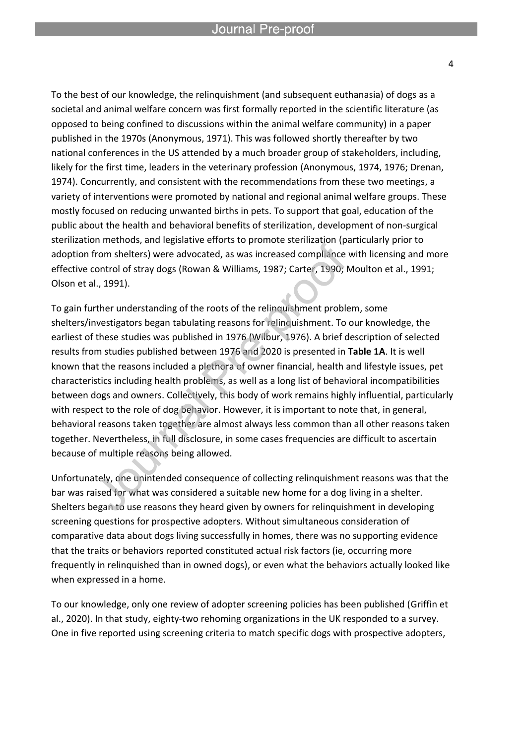To the best of our knowledge, the relinquishment (and subsequent euthanasia) of dogs as a societal and animal welfare concern was first formally reported in the scientific literature (as opposed to being confined to discussions within the animal welfare community) in a paper published in the 1970s (Anonymous, 1971). This was followed shortly thereafter by two national conferences in the US attended by a much broader group of stakeholders, including, likely for the first time, leaders in the veterinary profession (Anonymous, 1974, 1976; Drenan, 1974). Concurrently, and consistent with the recommendations from these two meetings, a variety of interventions were promoted by national and regional animal welfare groups. These mostly focused on reducing unwanted births in pets. To support that goal, education of the public about the health and behavioral benefits of sterilization, development of non-surgical sterilization methods, and legislative efforts to promote sterilization (particularly prior to adoption from shelters) were advocated, as was increased compliance with licensing and more effective control of stray dogs (Rowan & Williams, 1987; Carter, 1990; Moulton et al., 1991; Olson et al., 1991).

To gain further understanding of the roots of the relinquishment problem, some shelters/investigators began tabulating reasons for relinquishment. To our knowledge, the earliest of these studies was published in 1976 (Wilbur, 1976). A brief description of selected results from studies published between 1976 and 2020 is presented in **Table 1A**. It is well known that the reasons included a plethora of owner financial, health and lifestyle issues, pet characteristics including health problems, as well as a long list of behavioral incompatibilities between dogs and owners. Collectively, this body of work remains highly influential, particularly with respect to the role of dog behavior. However, it is important to note that, in general, behavioral reasons taken together are almost always less common than all other reasons taken together. Nevertheless, in full disclosure, in some cases frequencies are difficult to ascertain because of multiple reasons being allowed.

Unfortunately, one unintended consequence of collecting relinquishment reasons was that the bar was raised for what was considered a suitable new home for a dog living in a shelter. Shelters began to use reasons they heard given by owners for relinquishment in developing screening questions for prospective adopters. Without simultaneous consideration of comparative data about dogs living successfully in homes, there was no supporting evidence that the traits or behaviors reported constituted actual risk factors (ie, occurring more frequently in relinquished than in owned dogs), or even what the behaviors actually looked like when expressed in a home.

To our knowledge, only one review of adopter screening policies has been published (Griffin et al., 2020). In that study, eighty-two rehoming organizations in the UK responded to a survey. One in five reported using screening criteria to match specific dogs with prospective adopters,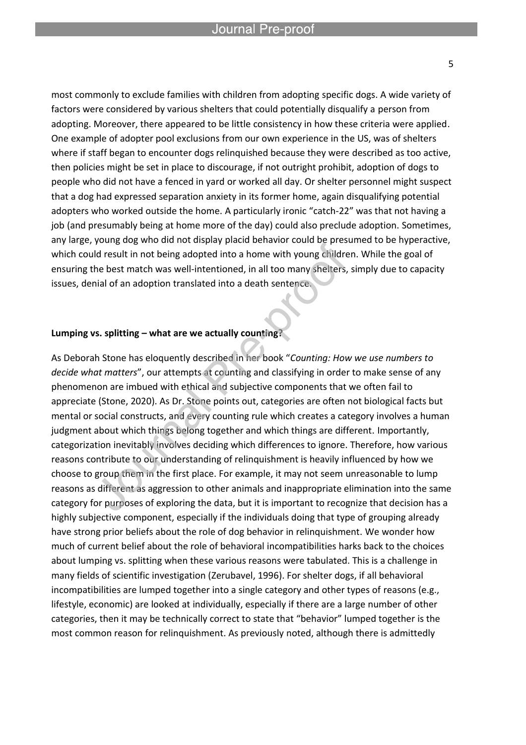most commonly to exclude families with children from adopting specific dogs. A wide variety of factors were considered by various shelters that could potentially disqualify a person from adopting. Moreover, there appeared to be little consistency in how these criteria were applied. One example of adopter pool exclusions from our own experience in the US, was of shelters where if staff began to encounter dogs relinquished because they were described as too active, then policies might be set in place to discourage, if not outright prohibit, adoption of dogs to people who did not have a fenced in yard or worked all day. Or shelter personnel might suspect that a dog had expressed separation anxiety in its former home, again disqualifying potential adopters who worked outside the home. A particularly ironic "catch-22" was that not having a job (and presumably being at home more of the day) could also preclude adoption. Sometimes, any large, young dog who did not display placid behavior could be presumed to be hyperactive, which could result in not being adopted into a home with young children. While the goal of ensuring the best match was well-intentioned, in all too many shelters, simply due to capacity issues, denial of an adoption translated into a death sentence.

#### **Lumping vs. splitting – what are we actually counting?**

l

As Deborah Stone has eloquently described in her book "*Counting: How we use numbers to decide what matters*", our attempts at counting and classifying in order to make sense of any phenomenon are imbued with ethical and subjective components that we often fail to appreciate (Stone, 2020). As Dr. Stone points out, categories are often not biological facts but mental or social constructs, and every counting rule which creates a category involves a human judgment about which things belong together and which things are different. Importantly, categorization inevitably involves deciding which differences to ignore. Therefore, how various reasons contribute to our understanding of relinquishment is heavily influenced by how we choose to group them in the first place. For example, it may not seem unreasonable to lump reasons as different as aggression to other animals and inappropriate elimination into the same category for purposes of exploring the data, but it is important to recognize that decision has a highly subjective component, especially if the individuals doing that type of grouping already have strong prior beliefs about the role of dog behavior in relinquishment. We wonder how much of current belief about the role of behavioral incompatibilities harks back to the choices about lumping vs. splitting when these various reasons were tabulated. This is a challenge in many fields of scientific investigation (Zerubavel, 1996). For shelter dogs, if all behavioral incompatibilities are lumped together into a single category and other types of reasons (e.g., lifestyle, economic) are looked at individually, especially if there are a large number of other categories, then it may be technically correct to state that "behavior" lumped together is the most common reason for relinquishment. As previously noted, although there is admittedly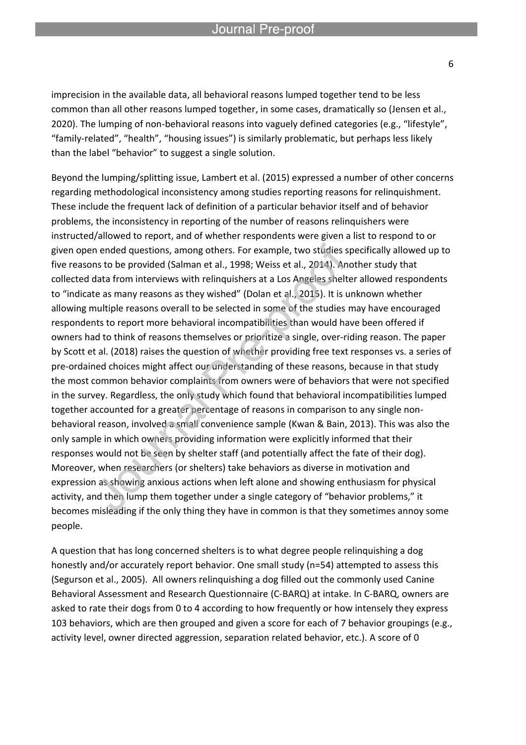l

imprecision in the available data, all behavioral reasons lumped together tend to be less common than all other reasons lumped together, in some cases, dramatically so (Jensen et al., 2020). The lumping of non-behavioral reasons into vaguely defined categories (e.g., "lifestyle", "family-related", "health", "housing issues") is similarly problematic, but perhaps less likely than the label "behavior" to suggest a single solution.

Beyond the lumping/splitting issue, Lambert et al. (2015) expressed a number of other concerns regarding methodological inconsistency among studies reporting reasons for relinquishment. These include the frequent lack of definition of a particular behavior itself and of behavior problems, the inconsistency in reporting of the number of reasons relinquishers were instructed/allowed to report, and of whether respondents were given a list to respond to or given open ended questions, among others. For example, two studies specifically allowed up to five reasons to be provided (Salman et al., 1998; Weiss et al., 2014). Another study that collected data from interviews with relinquishers at a Los Angeles shelter allowed respondents to "indicate as many reasons as they wished" (Dolan et al., 2015). It is unknown whether allowing multiple reasons overall to be selected in some of the studies may have encouraged respondents to report more behavioral incompatibilities than would have been offered if owners had to think of reasons themselves or prioritize a single, over-riding reason. The paper by Scott et al. (2018) raises the question of whether providing free text responses vs. a series of pre-ordained choices might affect our understanding of these reasons, because in that study the most common behavior complaints from owners were of behaviors that were not specified in the survey. Regardless, the only study which found that behavioral incompatibilities lumped together accounted for a greater percentage of reasons in comparison to any single nonbehavioral reason, involved a small convenience sample (Kwan & Bain, 2013). This was also the only sample in which owners providing information were explicitly informed that their responses would not be seen by shelter staff (and potentially affect the fate of their dog). Moreover, when researchers (or shelters) take behaviors as diverse in motivation and expression as showing anxious actions when left alone and showing enthusiasm for physical activity, and then lump them together under a single category of "behavior problems," it becomes misleading if the only thing they have in common is that they sometimes annoy some people.

A question that has long concerned shelters is to what degree people relinquishing a dog honestly and/or accurately report behavior. One small study (n=54) attempted to assess this (Segurson et al., 2005). All owners relinquishing a dog filled out the commonly used Canine Behavioral Assessment and Research Questionnaire (C-BARQ) at intake. In C-BARQ, owners are asked to rate their dogs from 0 to 4 according to how frequently or how intensely they express 103 behaviors, which are then grouped and given a score for each of 7 behavior groupings (e.g., activity level, owner directed aggression, separation related behavior, etc.). A score of 0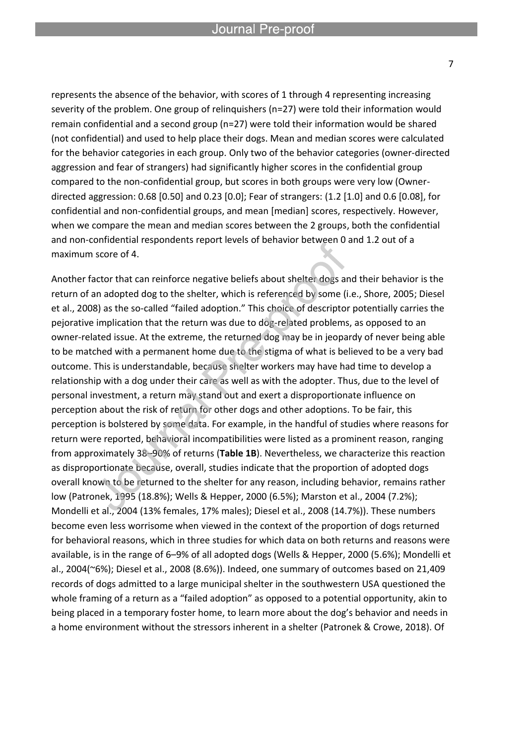represents the absence of the behavior, with scores of 1 through 4 representing increasing severity of the problem. One group of relinquishers (n=27) were told their information would remain confidential and a second group (n=27) were told their information would be shared (not confidential) and used to help place their dogs. Mean and median scores were calculated for the behavior categories in each group. Only two of the behavior categories (owner-directed aggression and fear of strangers) had significantly higher scores in the confidential group compared to the non-confidential group, but scores in both groups were very low (Ownerdirected aggression: 0.68 [0.50] and 0.23 [0.0]; Fear of strangers: (1.2 [1.0] and 0.6 [0.08], for confidential and non-confidential groups, and mean [median] scores, respectively. However, when we compare the mean and median scores between the 2 groups, both the confidential and non-confidential respondents report levels of behavior between 0 and 1.2 out of a maximum score of 4.

Another factor that can reinforce negative beliefs about shelter dogs and their behavior is the return of an adopted dog to the shelter, which is referenced by some (i.e., Shore, 2005; Diesel et al., 2008) as the so-called "failed adoption." This choice of descriptor potentially carries the pejorative implication that the return was due to dog-related problems, as opposed to an owner-related issue. At the extreme, the returned dog may be in jeopardy of never being able to be matched with a permanent home due to the stigma of what is believed to be a very bad outcome. This is understandable, because shelter workers may have had time to develop a relationship with a dog under their care as well as with the adopter. Thus, due to the level of personal investment, a return may stand out and exert a disproportionate influence on perception about the risk of return for other dogs and other adoptions. To be fair, this perception is bolstered by some data. For example, in the handful of studies where reasons for return were reported, behavioral incompatibilities were listed as a prominent reason, ranging from approximately 38–90% of returns (**Table 1B**). Nevertheless, we characterize this reaction as disproportionate because, overall, studies indicate that the proportion of adopted dogs overall known to be returned to the shelter for any reason, including behavior, remains rather low (Patronek, 1995 (18.8%); Wells & Hepper, 2000 (6.5%); Marston et al., 2004 (7.2%); Mondelli et al., 2004 (13% females, 17% males); Diesel et al., 2008 (14.7%)). These numbers become even less worrisome when viewed in the context of the proportion of dogs returned for behavioral reasons, which in three studies for which data on both returns and reasons were available, is in the range of 6–9% of all adopted dogs (Wells & Hepper, 2000 (5.6%); Mondelli et al., 2004(~6%); Diesel et al., 2008 (8.6%)). Indeed, one summary of outcomes based on 21,409 records of dogs admitted to a large municipal shelter in the southwestern USA questioned the whole framing of a return as a "failed adoption" as opposed to a potential opportunity, akin to being placed in a temporary foster home, to learn more about the dog's behavior and needs in a home environment without the stressors inherent in a shelter (Patronek & Crowe, 2018). Of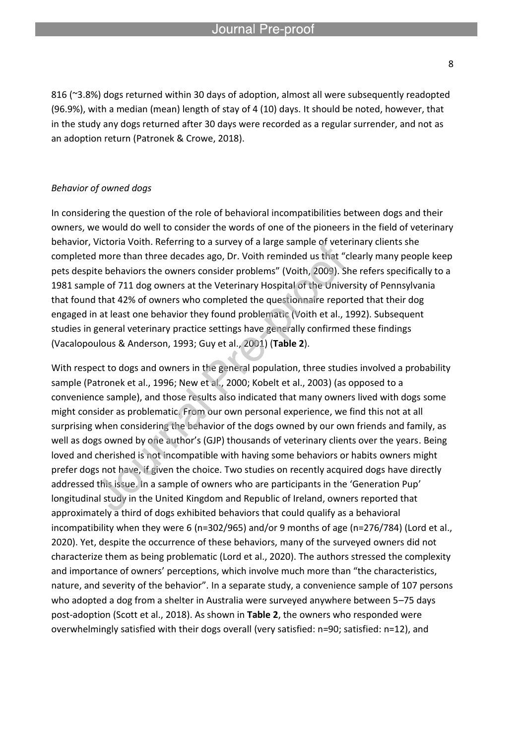816 (~3.8%) dogs returned within 30 days of adoption, almost all were subsequently readopted (96.9%), with a median (mean) length of stay of 4 (10) days. It should be noted, however, that in the study any dogs returned after 30 days were recorded as a regular surrender, and not as an adoption return (Patronek & Crowe, 2018).

#### *Behavior of owned dogs*

In considering the question of the role of behavioral incompatibilities between dogs and their owners, we would do well to consider the words of one of the pioneers in the field of veterinary behavior, Victoria Voith. Referring to a survey of a large sample of veterinary clients she completed more than three decades ago, Dr. Voith reminded us that "clearly many people keep pets despite behaviors the owners consider problems" (Voith, 2009). She refers specifically to a 1981 sample of 711 dog owners at the Veterinary Hospital of the University of Pennsylvania that found that 42% of owners who completed the questionnaire reported that their dog engaged in at least one behavior they found problematic (Voith et al., 1992). Subsequent studies in general veterinary practice settings have generally confirmed these findings (Vacalopoulous & Anderson, 1993; Guy et al., 2001) (**Table 2**).

With respect to dogs and owners in the general population, three studies involved a probability sample (Patronek et al., 1996; New et al., 2000; Kobelt et al., 2003) (as opposed to a convenience sample), and those results also indicated that many owners lived with dogs some might consider as problematic. From our own personal experience, we find this not at all surprising when considering the behavior of the dogs owned by our own friends and family, as well as dogs owned by one author's (GJP) thousands of veterinary clients over the years. Being loved and cherished is not incompatible with having some behaviors or habits owners might prefer dogs not have, if given the choice. Two studies on recently acquired dogs have directly addressed this issue. In a sample of owners who are participants in the 'Generation Pup' longitudinal study in the United Kingdom and Republic of Ireland, owners reported that approximately a third of dogs exhibited behaviors that could qualify as a behavioral incompatibility when they were 6 (n=302/965) and/or 9 months of age (n=276/784) (Lord et al., 2020). Yet, despite the occurrence of these behaviors, many of the surveyed owners did not characterize them as being problematic (Lord et al., 2020). The authors stressed the complexity and importance of owners' perceptions, which involve much more than "the characteristics, nature, and severity of the behavior". In a separate study, a convenience sample of 107 persons who adopted a dog from a shelter in Australia were surveyed anywhere between 5–75 days post-adoption (Scott et al., 2018). As shown in **Table 2**, the owners who responded were overwhelmingly satisfied with their dogs overall (very satisfied: n=90; satisfied: n=12), and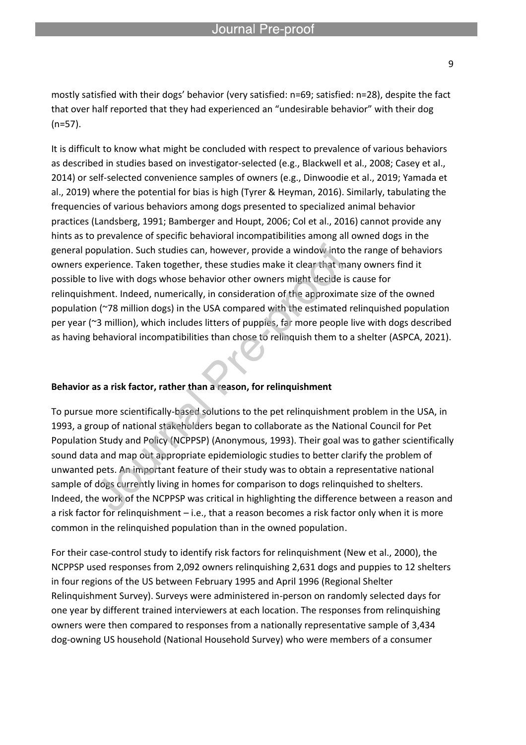mostly satisfied with their dogs' behavior (very satisfied: n=69; satisfied: n=28), despite the fact that over half reported that they had experienced an "undesirable behavior" with their dog (n=57).

It is difficult to know what might be concluded with respect to prevalence of various behaviors as described in studies based on investigator-selected (e.g., Blackwell et al., 2008; Casey et al., 2014) or self-selected convenience samples of owners (e.g., Dinwoodie et al., 2019; Yamada et al., 2019) where the potential for bias is high (Tyrer & Heyman, 2016). Similarly, tabulating the frequencies of various behaviors among dogs presented to specialized animal behavior practices (Landsberg, 1991; Bamberger and Houpt, 2006; Col et al., 2016) cannot provide any hints as to prevalence of specific behavioral incompatibilities among all owned dogs in the general population. Such studies can, however, provide a window into the range of behaviors owners experience. Taken together, these studies make it clear that many owners find it possible to live with dogs whose behavior other owners might decide is cause for relinquishment. Indeed, numerically, in consideration of the approximate size of the owned population (~78 million dogs) in the USA compared with the estimated relinquished population per year (~3 million), which includes litters of puppies, far more people live with dogs described as having behavioral incompatibilities than chose to relinquish them to a shelter (ASPCA, 2021).

#### **Behavior as a risk factor, rather than a reason, for relinquishment**

l

To pursue more scientifically-based solutions to the pet relinquishment problem in the USA, in 1993, a group of national stakeholders began to collaborate as the National Council for Pet Population Study and Policy (NCPPSP) (Anonymous, 1993). Their goal was to gather scientifically sound data and map out appropriate epidemiologic studies to better clarify the problem of unwanted pets. An important feature of their study was to obtain a representative national sample of dogs currently living in homes for comparison to dogs relinquished to shelters. Indeed, the work of the NCPPSP was critical in highlighting the difference between a reason and a risk factor for relinquishment – i.e., that a reason becomes a risk factor only when it is more common in the relinquished population than in the owned population.

For their case-control study to identify risk factors for relinquishment (New et al., 2000), the NCPPSP used responses from 2,092 owners relinquishing 2,631 dogs and puppies to 12 shelters in four regions of the US between February 1995 and April 1996 (Regional Shelter Relinquishment Survey). Surveys were administered in-person on randomly selected days for one year by different trained interviewers at each location. The responses from relinquishing owners were then compared to responses from a nationally representative sample of 3,434 dog-owning US household (National Household Survey) who were members of a consumer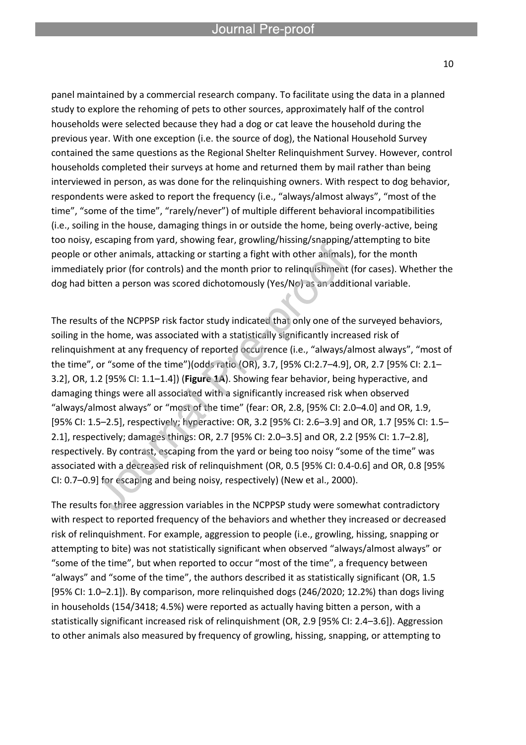panel maintained by a commercial research company. To facilitate using the data in a planned study to explore the rehoming of pets to other sources, approximately half of the control households were selected because they had a dog or cat leave the household during the previous year. With one exception (i.e. the source of dog), the National Household Survey contained the same questions as the Regional Shelter Relinquishment Survey. However, control households completed their surveys at home and returned them by mail rather than being interviewed in person, as was done for the relinquishing owners. With respect to dog behavior, respondents were asked to report the frequency (i.e., "always/almost always", "most of the time", "some of the time", "rarely/never") of multiple different behavioral incompatibilities (i.e., soiling in the house, damaging things in or outside the home, being overly-active, being too noisy, escaping from yard, showing fear, growling/hissing/snapping/attempting to bite people or other animals, attacking or starting a fight with other animals), for the month immediately prior (for controls) and the month prior to relinquishment (for cases). Whether the dog had bitten a person was scored dichotomously (Yes/No) as an additional variable.

The results of the NCPPSP risk factor study indicated that only one of the surveyed behaviors, soiling in the home, was associated with a statistically significantly increased risk of relinquishment at any frequency of reported occurrence (i.e., "always/almost always", "most of the time", or "some of the time")(odds ratio (OR), 3.7, [95% CI:2.7–4.9], OR, 2.7 [95% CI: 2.1– 3.2], OR, 1.2 [95% CI: 1.1–1.4]) (**Figure 1A**). Showing fear behavior, being hyperactive, and damaging things were all associated with a significantly increased risk when observed "always/almost always" or "most of the time" (fear: OR, 2.8, [95% CI: 2.0–4.0] and OR, 1.9, [95% CI: 1.5–2.5], respectively; hyperactive: OR, 3.2 [95% CI: 2.6–3.9] and OR, 1.7 [95% CI: 1.5– 2.1], respectively; damages things: OR, 2.7 [95% CI: 2.0–3.5] and OR, 2.2 [95% CI: 1.7–2.8], respectively. By contrast, escaping from the yard or being too noisy "some of the time" was associated with a decreased risk of relinquishment (OR, 0.5 [95% CI: 0.4-0.6] and OR, 0.8 [95% CI: 0.7–0.9] for escaping and being noisy, respectively) (New et al., 2000).

The results for three aggression variables in the NCPPSP study were somewhat contradictory with respect to reported frequency of the behaviors and whether they increased or decreased risk of relinquishment. For example, aggression to people (i.e., growling, hissing, snapping or attempting to bite) was not statistically significant when observed "always/almost always" or "some of the time", but when reported to occur "most of the time", a frequency between "always" and "some of the time", the authors described it as statistically significant (OR, 1.5 [95% CI: 1.0–2.1]). By comparison, more relinquished dogs (246/2020; 12.2%) than dogs living in households (154/3418; 4.5%) were reported as actually having bitten a person, with a statistically significant increased risk of relinquishment (OR, 2.9 [95% CI: 2.4–3.6]). Aggression to other animals also measured by frequency of growling, hissing, snapping, or attempting to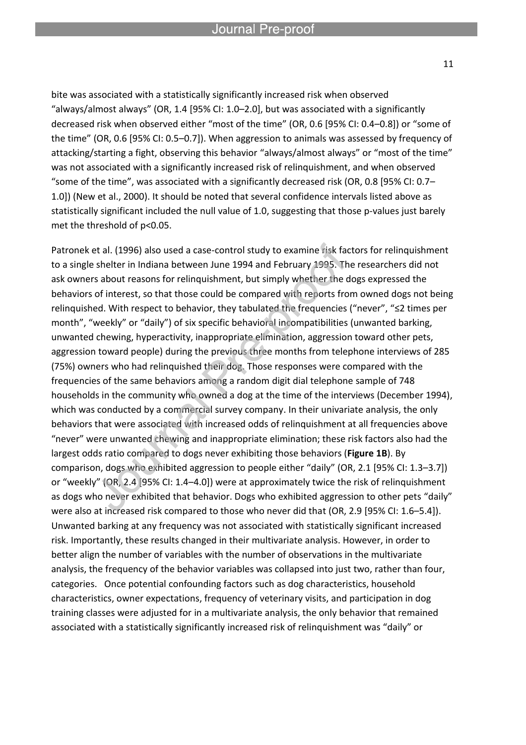l

bite was associated with a statistically significantly increased risk when observed "always/almost always" (OR, 1.4 [95% CI: 1.0–2.0], but was associated with a significantly decreased risk when observed either "most of the time" (OR, 0.6 [95% CI: 0.4–0.8]) or "some of the time" (OR, 0.6 [95% CI: 0.5–0.7]). When aggression to animals was assessed by frequency of attacking/starting a fight, observing this behavior "always/almost always" or "most of the time" was not associated with a significantly increased risk of relinquishment, and when observed "some of the time", was associated with a significantly decreased risk (OR, 0.8 [95% CI: 0.7– 1.0]) (New et al., 2000). It should be noted that several confidence intervals listed above as statistically significant included the null value of 1.0, suggesting that those p-values just barely met the threshold of p<0.05.

Patronek et al. (1996) also used a case-control study to examine risk factors for relinquishment to a single shelter in Indiana between June 1994 and February 1995. The researchers did not ask owners about reasons for relinquishment, but simply whether the dogs expressed the behaviors of interest, so that those could be compared with reports from owned dogs not being relinquished. With respect to behavior, they tabulated the frequencies ("never", "≤2 times per month", "weekly" or "daily") of six specific behavioral incompatibilities (unwanted barking, unwanted chewing, hyperactivity, inappropriate elimination, aggression toward other pets, aggression toward people) during the previous three months from telephone interviews of 285 (75%) owners who had relinquished their dog. Those responses were compared with the frequencies of the same behaviors among a random digit dial telephone sample of 748 households in the community who owned a dog at the time of the interviews (December 1994), which was conducted by a commercial survey company. In their univariate analysis, the only behaviors that were associated with increased odds of relinquishment at all frequencies above "never" were unwanted chewing and inappropriate elimination; these risk factors also had the largest odds ratio compared to dogs never exhibiting those behaviors (**Figure 1B**). By comparison, dogs who exhibited aggression to people either "daily" (OR, 2.1 [95% CI: 1.3–3.7]) or "weekly" (OR, 2.4 [95% CI: 1.4–4.0]) were at approximately twice the risk of relinquishment as dogs who never exhibited that behavior. Dogs who exhibited aggression to other pets "daily" were also at increased risk compared to those who never did that (OR, 2.9 [95% CI: 1.6–5.4]). Unwanted barking at any frequency was not associated with statistically significant increased risk. Importantly, these results changed in their multivariate analysis. However, in order to better align the number of variables with the number of observations in the multivariate analysis, the frequency of the behavior variables was collapsed into just two, rather than four, categories. Once potential confounding factors such as dog characteristics, household characteristics, owner expectations, frequency of veterinary visits, and participation in dog training classes were adjusted for in a multivariate analysis, the only behavior that remained associated with a statistically significantly increased risk of relinquishment was "daily" or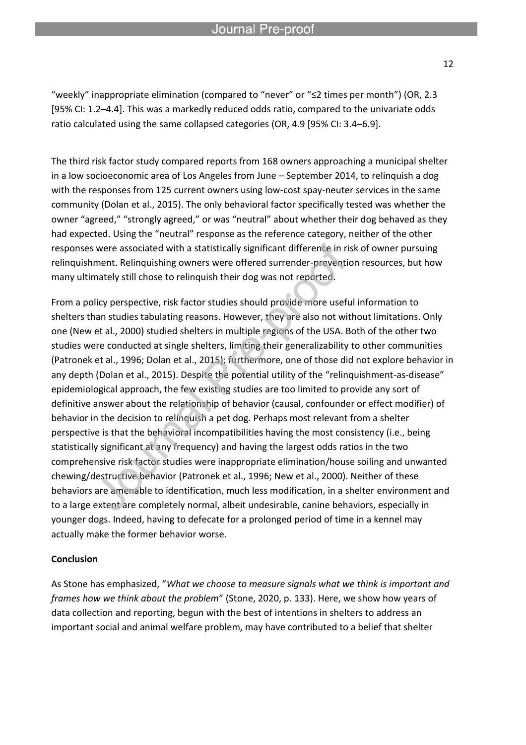"weekly" inappropriate elimination (compared to "never" or "≤2 times per month") (OR, 2.3 [95% CI: 1.2–4.4]. This was a markedly reduced odds ratio, compared to the univariate odds ratio calculated using the same collapsed categories (OR, 4.9 [95% CI: 3.4–6.9].

l

The third risk factor study compared reports from 168 owners approaching a municipal shelter in a low socioeconomic area of Los Angeles from June – September 2014, to relinquish a dog with the responses from 125 current owners using low-cost spay-neuter services in the same community (Dolan et al., 2015). The only behavioral factor specifically tested was whether the owner "agreed," "strongly agreed," or was "neutral" about whether their dog behaved as they had expected. Using the "neutral" response as the reference category, neither of the other responses were associated with a statistically significant difference in risk of owner pursuing relinquishment. Relinquishing owners were offered surrender-prevention resources, but how many ultimately still chose to relinquish their dog was not reported.

From a policy perspective, risk factor studies should provide more useful information to shelters than studies tabulating reasons. However, they are also not without limitations. Only one (New et al., 2000) studied shelters in multiple regions of the USA. Both of the other two studies were conducted at single shelters, limiting their generalizability to other communities (Patronek et al., 1996; Dolan et al., 2015); furthermore, one of those did not explore behavior in any depth (Dolan et al., 2015). Despite the potential utility of the "relinquishment-as-disease" epidemiological approach, the few existing studies are too limited to provide any sort of definitive answer about the relationship of behavior (causal, confounder or effect modifier) of behavior in the decision to relinquish a pet dog. Perhaps most relevant from a shelter perspective is that the behavioral incompatibilities having the most consistency (i.e., being statistically significant at any frequency) and having the largest odds ratios in the two comprehensive risk factor studies were inappropriate elimination/house soiling and unwanted chewing/destructive behavior (Patronek et al., 1996; New et al., 2000). Neither of these behaviors are amenable to identification, much less modification, in a shelter environment and to a large extent are completely normal, albeit undesirable, canine behaviors, especially in younger dogs. Indeed, having to defecate for a prolonged period of time in a kennel may actually make the former behavior worse.

#### **Conclusion**

As Stone has emphasized, "*What we choose to measure signals what we think is important and frames how we think about the problem*" (Stone, 2020, p. 133). Here, we show how years of data collection and reporting, begun with the best of intentions in shelters to address an important social and animal welfare problem, may have contributed to a belief that shelter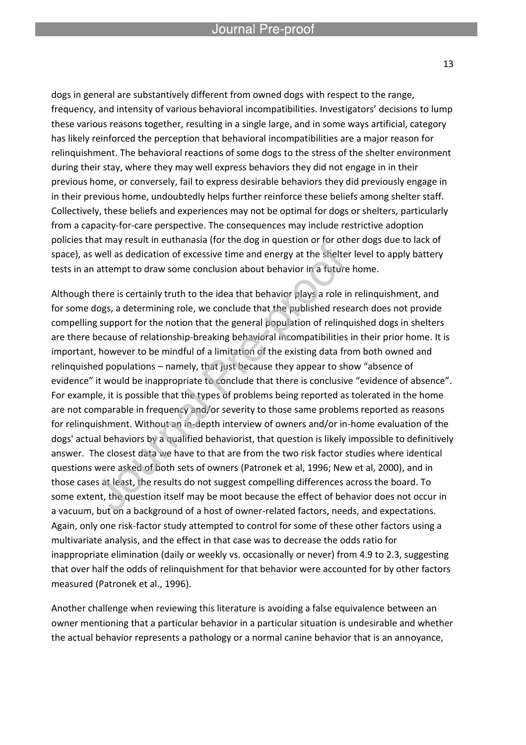l

dogs in general are substantively different from owned dogs with respect to the range, frequency, and intensity of various behavioral incompatibilities. Investigators' decisions to lump these various reasons together, resulting in a single large, and in some ways artificial, category has likely reinforced the perception that behavioral incompatibilities are a major reason for relinquishment. The behavioral reactions of some dogs to the stress of the shelter environment during their stay, where they may well express behaviors they did not engage in in their previous home, or conversely, fail to express desirable behaviors they did previously engage in in their previous home, undoubtedly helps further reinforce these beliefs among shelter staff. Collectively, these beliefs and experiences may not be optimal for dogs or shelters, particularly from a capacity-for-care perspective. The consequences may include restrictive adoption policies that may result in euthanasia (for the dog in question or for other dogs due to lack of space), as well as dedication of excessive time and energy at the shelter level to apply battery tests in an attempt to draw some conclusion about behavior in a future home.

Although there is certainly truth to the idea that behavior plays a role in relinquishment, and for some dogs, a determining role, we conclude that the published research does not provide compelling support for the notion that the general population of relinquished dogs in shelters are there because of relationship-breaking behavioral incompatibilities in their prior home. It is important, however to be mindful of a limitation of the existing data from both owned and relinquished populations – namely, that just because they appear to show "absence of evidence" it would be inappropriate to conclude that there is conclusive "evidence of absence". For example, it is possible that the types of problems being reported as tolerated in the home are not comparable in frequency and/or severity to those same problems reported as reasons for relinquishment. Without an in-depth interview of owners and/or in-home evaluation of the dogs' actual behaviors by a qualified behaviorist, that question is likely impossible to definitively answer. The closest data we have to that are from the two risk factor studies where identical questions were asked of both sets of owners (Patronek et al, 1996; New et al, 2000), and in those cases at least, the results do not suggest compelling differences across the board. To some extent, the question itself may be moot because the effect of behavior does not occur in a vacuum, but on a background of a host of owner-related factors, needs, and expectations. Again, only one risk-factor study attempted to control for some of these other factors using a multivariate analysis, and the effect in that case was to decrease the odds ratio for inappropriate elimination (daily or weekly vs. occasionally or never) from 4.9 to 2.3, suggesting that over half the odds of relinquishment for that behavior were accounted for by other factors measured (Patronek et al., 1996).

Another challenge when reviewing this literature is avoiding a false equivalence between an owner mentioning that a particular behavior in a particular situation is undesirable and whether the actual behavior represents a pathology or a normal canine behavior that is an annoyance,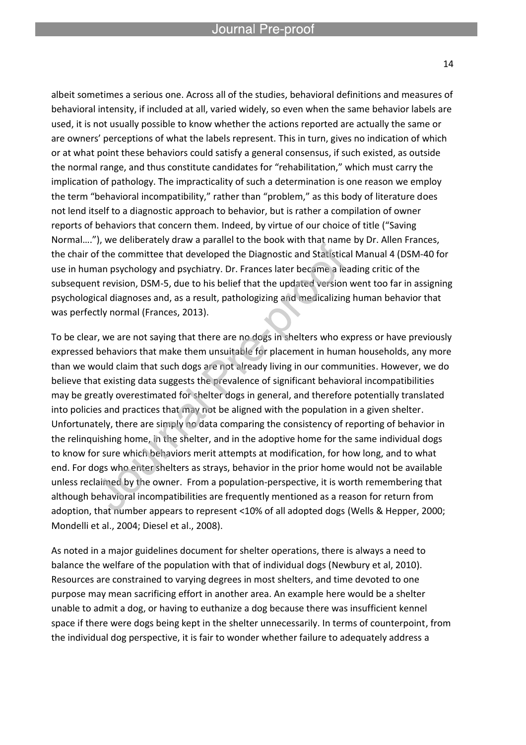albeit sometimes a serious one. Across all of the studies, behavioral definitions and measures of behavioral intensity, if included at all, varied widely, so even when the same behavior labels are used, it is not usually possible to know whether the actions reported are actually the same or are owners' perceptions of what the labels represent. This in turn, gives no indication of which or at what point these behaviors could satisfy a general consensus, if such existed, as outside the normal range, and thus constitute candidates for "rehabilitation," which must carry the implication of pathology. The impracticality of such a determination is one reason we employ the term "behavioral incompatibility," rather than "problem," as this body of literature does not lend itself to a diagnostic approach to behavior, but is rather a compilation of owner reports of behaviors that concern them. Indeed, by virtue of our choice of title ("Saving Normal…."), we deliberately draw a parallel to the book with that name by Dr. Allen Frances, the chair of the committee that developed the Diagnostic and Statistical Manual 4 (DSM-40 for use in human psychology and psychiatry. Dr. Frances later became a leading critic of the subsequent revision, DSM-5, due to his belief that the updated version went too far in assigning psychological diagnoses and, as a result, pathologizing and medicalizing human behavior that was perfectly normal (Frances, 2013).

To be clear, we are not saying that there are no dogs in shelters who express or have previously expressed behaviors that make them unsuitable for placement in human households, any more than we would claim that such dogs are not already living in our communities. However, we do believe that existing data suggests the prevalence of significant behavioral incompatibilities may be greatly overestimated for shelter dogs in general, and therefore potentially translated into policies and practices that may not be aligned with the population in a given shelter. Unfortunately, there are simply no data comparing the consistency of reporting of behavior in the relinquishing home, in the shelter, and in the adoptive home for the same individual dogs to know for sure which behaviors merit attempts at modification, for how long, and to what end. For dogs who enter shelters as strays, behavior in the prior home would not be available unless reclaimed by the owner. From a population-perspective, it is worth remembering that although behavioral incompatibilities are frequently mentioned as a reason for return from adoption, that number appears to represent <10% of all adopted dogs (Wells & Hepper, 2000; Mondelli et al., 2004; Diesel et al., 2008).

As noted in a major guidelines document for shelter operations, there is always a need to balance the welfare of the population with that of individual dogs (Newbury et al, 2010). Resources are constrained to varying degrees in most shelters, and time devoted to one purpose may mean sacrificing effort in another area. An example here would be a shelter unable to admit a dog, or having to euthanize a dog because there was insufficient kennel space if there were dogs being kept in the shelter unnecessarily. In terms of counterpoint, from the individual dog perspective, it is fair to wonder whether failure to adequately address a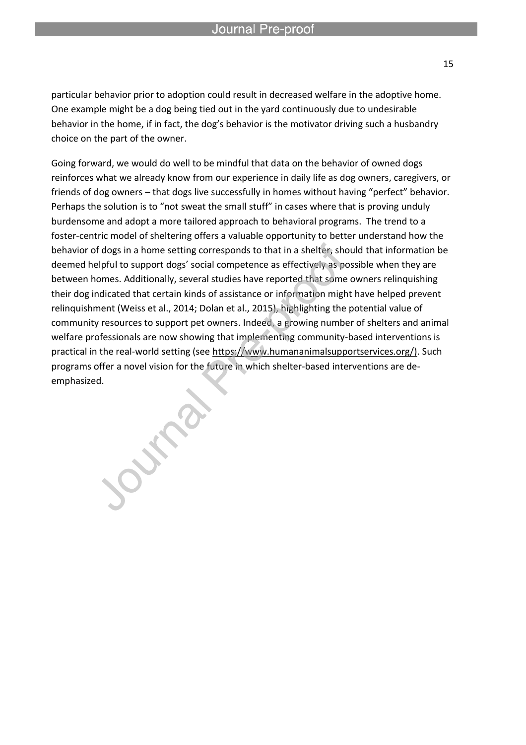particular behavior prior to adoption could result in decreased welfare in the adoptive home. One example might be a dog being tied out in the yard continuously due to undesirable behavior in the home, if in fact, the dog's behavior is the motivator driving such a husbandry choice on the part of the owner.

l

Going forward, we would do well to be mindful that data on the behavior of owned dogs reinforces what we already know from our experience in daily life as dog owners, caregivers, or friends of dog owners – that dogs live successfully in homes without having "perfect" behavior. Perhaps the solution is to "not sweat the small stuff" in cases where that is proving unduly burdensome and adopt a more tailored approach to behavioral programs. The trend to a foster-centric model of sheltering offers a valuable opportunity to better understand how the behavior of dogs in a home setting corresponds to that in a shelter, should that information be deemed helpful to support dogs' social competence as effectively as possible when they are between homes. Additionally, several studies have reported that some owners relinquishing their dog indicated that certain kinds of assistance or information might have helped prevent relinquishment (Weiss et al., 2014; Dolan et al., 2015), highlighting the potential value of community resources to support pet owners. Indeed, a growing number of shelters and animal welfare professionals are now showing that implementing community-based interventions is practical in the real-world setting (see https://www.humananimalsupportservices.org/). Such programs offer a novel vision for the future in which shelter-based interventions are deemphasized.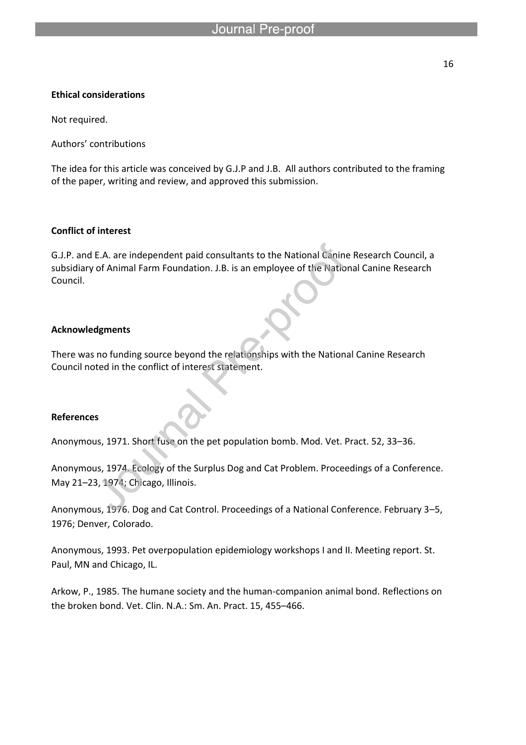#### **Ethical considerations**

Not required.

Authors' contributions

The idea for this article was conceived by G.J.P and J.B. All authors contributed to the framing of the paper, writing and review, and approved this submission.

#### **Conflict of interest**

G.J.P. and E.A. are independent paid consultants to the National Canine Research Council, a subsidiary of Animal Farm Foundation. J.B. is an employee of the National Canine Research Council.

#### **Acknowledgments**

There was no funding source beyond the relationships with the National Canine Research Council noted in the conflict of interest statement.

#### **References**

Anonymous, 1971. Short fuse on the pet population bomb. Mod. Vet. Pract. 52, 33–36.

```
Anonymous, 1974. Ecology of the Surplus Dog and Cat Problem. Proceedings of a Conference. 
May 21–23, 1974; Chicago, Illinois.
```
Anonymous, 1976. Dog and Cat Control. Proceedings of a National Conference. February 3–5, 1976; Denver, Colorado.

Anonymous, 1993. Pet overpopulation epidemiology workshops I and II. Meeting report. St. Paul, MN and Chicago, IL.

Arkow, P., 1985. The humane society and the human-companion animal bond. Reflections on the broken bond. Vet. Clin. N.A.: Sm. An. Pract. 15, 455–466.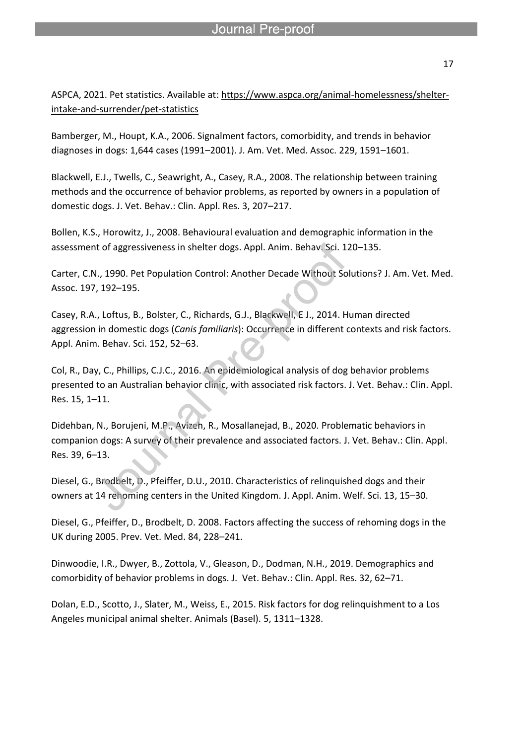ASPCA, 2021. Pet statistics. Available at: https://www.aspca.org/animal-homelessness/shelterintake-and-surrender/pet-statistics

Bamberger, M., Houpt, K.A., 2006. Signalment factors, comorbidity, and trends in behavior diagnoses in dogs: 1,644 cases (1991–2001). J. Am. Vet. Med. Assoc. 229, 1591–1601.

l

Blackwell, E.J., Twells, C., Seawright, A., Casey, R.A., 2008. The relationship between training methods and the occurrence of behavior problems, as reported by owners in a population of domestic dogs. J. Vet. Behav.: Clin. Appl. Res. 3, 207–217.

Bollen, K.S., Horowitz, J., 2008. Behavioural evaluation and demographic information in the assessment of aggressiveness in shelter dogs. Appl. Anim. Behav. Sci. 120–135.

Carter, C.N., 1990. Pet Population Control: Another Decade Without Solutions? J. Am. Vet. Med. Assoc. 197, 192–195.

Casey, R.A., Loftus, B., Bolster, C., Richards, G.J., Blackwell, E J., 2014. Human directed aggression in domestic dogs (*Canis familiaris*): Occurrence in different contexts and risk factors. Appl. Anim. Behav. Sci. 152, 52–63.

Col, R., Day, C., Phillips, C.J.C., 2016. An epidemiological analysis of dog behavior problems presented to an Australian behavior clinic, with associated risk factors. J. Vet. Behav.: Clin. Appl. Res. 15, 1–11.

Didehban, N., Borujeni, M.P., Avizeh, R., Mosallanejad, B., 2020. Problematic behaviors in companion dogs: A survey of their prevalence and associated factors. J. Vet. Behav.: Clin. Appl. Res. 39, 6–13.

Diesel, G., Brodbelt, D., Pfeiffer, D.U., 2010. Characteristics of relinquished dogs and their owners at 14 rehoming centers in the United Kingdom. J. Appl. Anim. Welf. Sci. 13, 15–30.

Diesel, G., Pfeiffer, D., Brodbelt, D. 2008. Factors affecting the success of rehoming dogs in the UK during 2005. Prev. Vet. Med. 84, 228–241.

Dinwoodie, I.R., Dwyer, B., Zottola, V., Gleason, D., Dodman, N.H., 2019. Demographics and comorbidity of behavior problems in dogs. J. Vet. Behav.: Clin. Appl. Res. 32, 62–71.

Dolan, E.D., Scotto, J., Slater, M., Weiss, E., 2015. Risk factors for dog relinquishment to a Los Angeles municipal animal shelter. Animals (Basel). 5, 1311–1328.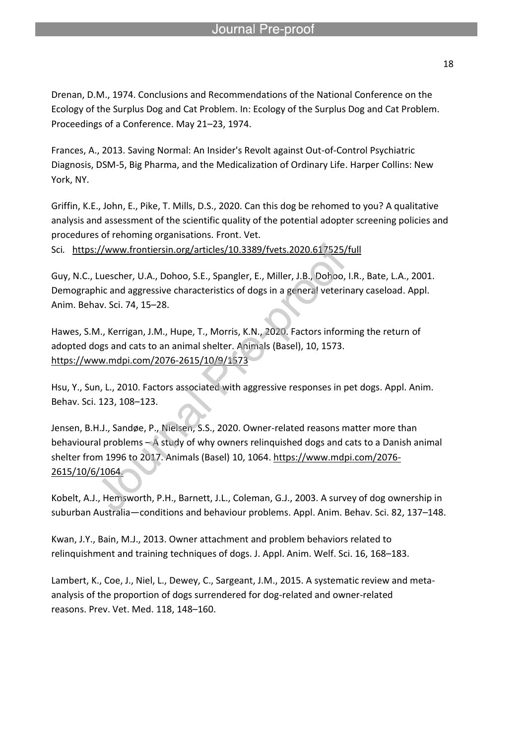Drenan, D.M., 1974. Conclusions and Recommendations of the National Conference on the Ecology of the Surplus Dog and Cat Problem. In: Ecology of the Surplus Dog and Cat Problem. Proceedings of a Conference. May 21–23, 1974.

Frances, A., 2013. Saving Normal: An Insider's Revolt against Out-of-Control Psychiatric Diagnosis, DSM-5, Big Pharma, and the Medicalization of Ordinary Life. Harper Collins: New York, NY.

Griffin, K.E., John, E., Pike, T. Mills, D.S., 2020. Can this dog be rehomed to you? A qualitative analysis and assessment of the scientific quality of the potential adopter screening policies and procedures of rehoming organisations. Front. Vet.

Sci*.* https://www.frontiersin.org/articles/10.3389/fvets.2020.617525/full

l

Guy, N.C., Luescher, U.A., Dohoo, S.E., Spangler, E., Miller, J.B., Dohoo, I.R., Bate, L.A., 2001. Demographic and aggressive characteristics of dogs in a general veterinary caseload. Appl. Anim. Behav. Sci. 74, 15–28.

Hawes, S.M., Kerrigan, J.M., Hupe, T., Morris, K.N., 2020. Factors informing the return of adopted dogs and cats to an animal shelter. Animals (Basel), 10, 1573. https://www.mdpi.com/2076-2615/10/9/1573

Hsu, Y., Sun, L., 2010. Factors associated with aggressive responses in pet dogs. Appl. Anim. Behav. Sci. 123, 108–123.

Jensen, B.H.J., Sandøe, P., Nielsen, S.S., 2020. Owner-related reasons matter more than behavioural problems – A study of why owners relinquished dogs and cats to a Danish animal shelter from 1996 to 2017. Animals (Basel) 10, 1064. https://www.mdpi.com/2076- 2615/10/6/1064.

Kobelt, A.J., Hemsworth, P.H., Barnett, J.L., Coleman, G.J., 2003. A survey of dog ownership in suburban Australia—conditions and behaviour problems. Appl. Anim. Behav. Sci. 82, 137–148.

Kwan, J.Y., Bain, M.J., 2013. Owner attachment and problem behaviors related to relinquishment and training techniques of dogs. J. Appl. Anim. Welf. Sci. 16, 168–183.

Lambert, K., Coe, J., Niel, L., Dewey, C., Sargeant, J.M., 2015. A systematic review and metaanalysis of the proportion of dogs surrendered for dog-related and owner-related reasons. Prev. Vet. Med. 118, 148–160.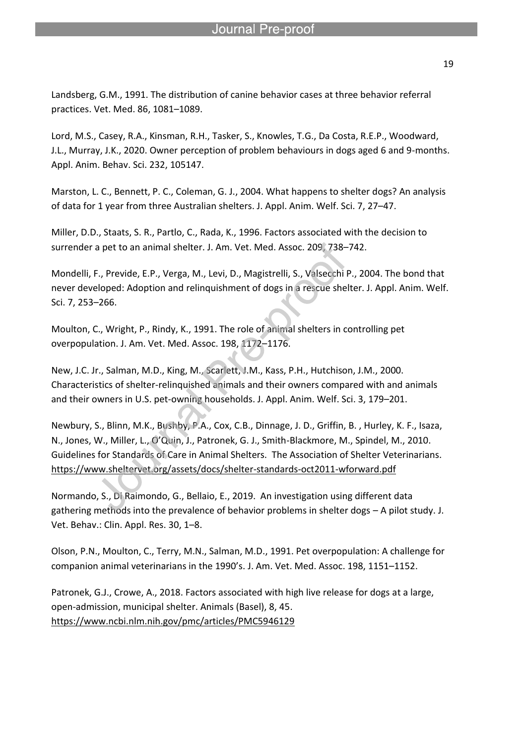Landsberg, G.M., 1991. The distribution of canine behavior cases at three behavior referral practices. Vet. Med. 86, 1081–1089.

l

Lord, M.S., Casey, R.A., Kinsman, R.H., Tasker, S., Knowles, T.G., Da Costa, R.E.P., Woodward, J.L., Murray, J.K., 2020. Owner perception of problem behaviours in dogs aged 6 and 9-months. Appl. Anim. Behav. Sci. 232, 105147.

Marston, L. C., Bennett, P. C., Coleman, G. J., 2004. What happens to shelter dogs? An analysis of data for 1 year from three Australian shelters. J. Appl. Anim. Welf. Sci. 7, 27–47.

Miller, D.D., Staats, S. R., Partlo, C., Rada, K., 1996. Factors associated with the decision to surrender a pet to an animal shelter. J. Am. Vet. Med. Assoc. 209, 738–742.

Mondelli, F., Previde, E.P., Verga, M., Levi, D., Magistrelli, S., Valsecchi P., 2004. The bond that never developed: Adoption and relinquishment of dogs in a rescue shelter. J. Appl. Anim. Welf. Sci. 7, 253–266.

Moulton, C., Wright, P., Rindy, K., 1991. The role of animal shelters in controlling pet overpopulation. J. Am. Vet. Med. Assoc. 198, 1172–1176.

New, J.C. Jr., Salman, M.D., King, M., Scarlett, J.M., Kass, P.H., Hutchison, J.M., 2000. Characteristics of shelter-relinquished animals and their owners compared with and animals and their owners in U.S. pet-owning households. J. Appl. Anim. Welf. Sci. 3, 179–201.

Newbury, S., Blinn, M.K., Bushby, P.A., Cox, C.B., Dinnage, J. D., Griffin, B. , Hurley, K. F., Isaza, N., Jones, W., Miller, L., O'Quin, J., Patronek, G. J., Smith-Blackmore, M., Spindel, M., 2010. Guidelines for Standards of Care in Animal Shelters. The Association of Shelter Veterinarians. https://www.sheltervet.org/assets/docs/shelter-standards-oct2011-wforward.pdf

Normando, S., Di Raimondo, G., Bellaio, E., 2019. An investigation using different data gathering methods into the prevalence of behavior problems in shelter dogs – A pilot study. J. Vet. Behav.: Clin. Appl. Res. 30, 1–8.

Olson, P.N., Moulton, C., Terry, M.N., Salman, M.D., 1991. Pet overpopulation: A challenge for companion animal veterinarians in the 1990's. J. Am. Vet. Med. Assoc. 198, 1151–1152.

Patronek, G.J., Crowe, A., 2018. Factors associated with high live release for dogs at a large, open-admission, municipal shelter. Animals (Basel), 8, 45. https://www.ncbi.nlm.nih.gov/pmc/articles/PMC5946129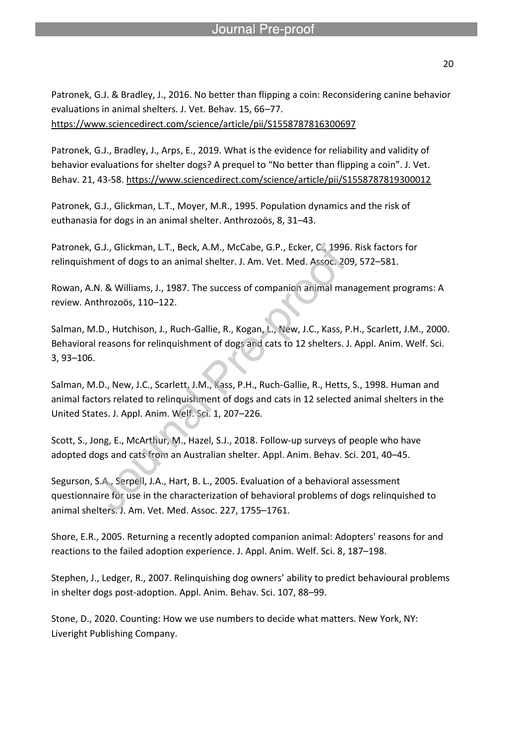Patronek, G.J. & Bradley, J., 2016. No better than flipping a coin: Reconsidering canine behavior evaluations in animal shelters. J. Vet. Behav. 15, 66–77.

https://www.sciencedirect.com/science/article/pii/S1558787816300697

l

Patronek, G.J., Bradley, J., Arps, E., 2019. What is the evidence for reliability and validity of behavior evaluations for shelter dogs? A prequel to "No better than flipping a coin". J. Vet. Behav. 21, 43-58. https://www.sciencedirect.com/science/article/pii/S1558787819300012

Patronek, G.J., Glickman, L.T., Moyer, M.R., 1995. Population dynamics and the risk of euthanasia for dogs in an animal shelter. Anthrozoös, 8, 31–43.

Patronek, G.J., Glickman, L.T., Beck, A.M., McCabe, G.P., Ecker, C., 1996. Risk factors for relinquishment of dogs to an animal shelter. J. Am. Vet. Med. Assoc. 209, 572–581.

Rowan, A.N. & Williams, J., 1987. The success of companion animal management programs: A review. Anthrozoös, 110–122.

Salman, M.D., Hutchison, J., Ruch-Gallie, R., Kogan, L., New, J.C., Kass, P.H., Scarlett, J.M., 2000. Behavioral reasons for relinquishment of dogs and cats to 12 shelters. J. Appl. Anim. Welf. Sci. 3, 93–106.

Salman, M.D., New, J.C., Scarlett, J.M., Kass, P.H., Ruch-Gallie, R., Hetts, S., 1998. Human and animal factors related to relinquishment of dogs and cats in 12 selected animal shelters in the United States. J. Appl. Anim. Welf. Sci. 1, 207–226.

Scott, S., Jong, E., McArthur, M., Hazel, S.J., 2018. Follow-up surveys of people who have adopted dogs and cats from an Australian shelter. Appl. Anim. Behav. Sci. 201, 40–45.

Segurson, S.A., Serpell, J.A., Hart, B. L., 2005. Evaluation of a behavioral assessment questionnaire for use in the characterization of behavioral problems of dogs relinquished to animal shelters. J. Am. Vet. Med. Assoc. 227, 1755–1761.

Shore, E.R., 2005. Returning a recently adopted companion animal: Adopters' reasons for and reactions to the failed adoption experience. J. Appl. Anim. Welf. Sci. 8, 187–198.

Stephen, J., Ledger, R., 2007. Relinquishing dog owners' ability to predict behavioural problems in shelter dogs post-adoption. Appl. Anim. Behav. Sci. 107, 88–99.

Stone, D., 2020. Counting: How we use numbers to decide what matters. New York, NY: Liveright Publishing Company.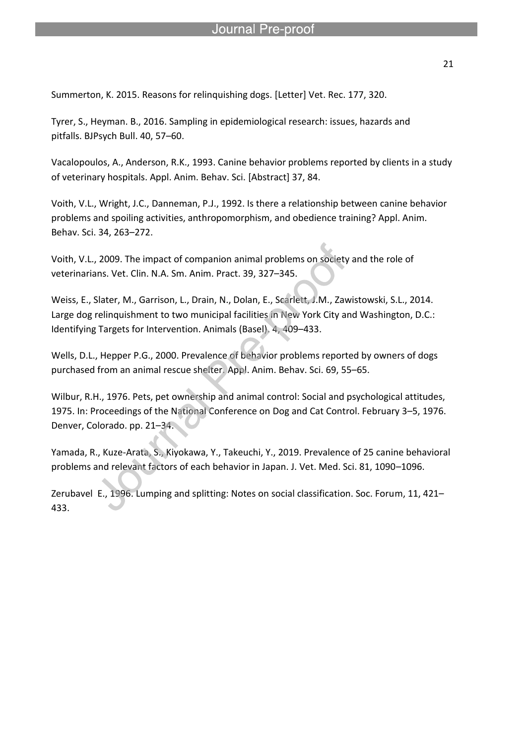Summerton, K. 2015. Reasons for relinquishing dogs. [Letter] Vet. Rec. 177, 320.

l

Tyrer, S., Heyman. B., 2016. Sampling in epidemiological research: issues, hazards and pitfalls. BJPsych Bull. 40, 57–60.

Vacalopoulos, A., Anderson, R.K., 1993. Canine behavior problems reported by clients in a study of veterinary hospitals. Appl. Anim. Behav. Sci. [Abstract] 37, 84.

Voith, V.L., Wright, J.C., Danneman, P.J., 1992. Is there a relationship between canine behavior problems and spoiling activities, anthropomorphism, and obedience training? Appl. Anim. Behav. Sci. 34, 263–272.

Voith, V.L., 2009. The impact of companion animal problems on society and the role of veterinarians. Vet. Clin. N.A. Sm. Anim. Pract. 39, 327–345.

Weiss, E., Slater, M., Garrison, L., Drain, N., Dolan, E., Scarlett, J.M., Zawistowski, S.L., 2014. Large dog relinquishment to two municipal facilities in New York City and Washington, D.C.: Identifying Targets for Intervention. Animals (Basel). 4, 409–433.

Wells, D.L., Hepper P.G., 2000. Prevalence of behavior problems reported by owners of dogs purchased from an animal rescue shelter. Appl. Anim. Behav. Sci. 69, 55–65.

Wilbur, R.H., 1976. Pets, pet ownership and animal control: Social and psychological attitudes, 1975. In: Proceedings of the National Conference on Dog and Cat Control. February 3–5, 1976. Denver, Colorado. pp. 21–34.

Yamada, R., Kuze-Arata, S., Kiyokawa, Y., Takeuchi, Y., 2019. Prevalence of 25 canine behavioral problems and relevant factors of each behavior in Japan. J. Vet. Med. Sci. 81, 1090–1096.

Zerubavel E., 1996. Lumping and splitting: Notes on social classification. Soc. Forum, 11, 421– 433.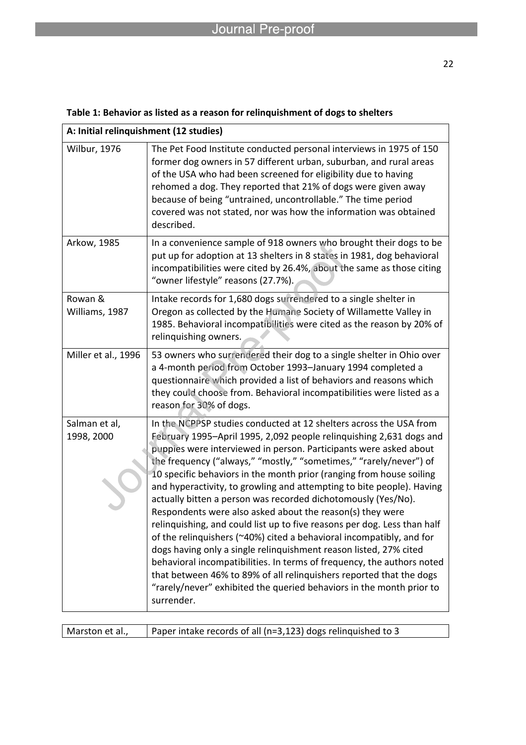| A: Initial relinquishment (12 studies) |                                                                                                                                                                                                                                                                                                                                                                                                                                                                                                                                                                                                                                                                                                                                                                                                                                                                                                                                                                                                                                     |  |
|----------------------------------------|-------------------------------------------------------------------------------------------------------------------------------------------------------------------------------------------------------------------------------------------------------------------------------------------------------------------------------------------------------------------------------------------------------------------------------------------------------------------------------------------------------------------------------------------------------------------------------------------------------------------------------------------------------------------------------------------------------------------------------------------------------------------------------------------------------------------------------------------------------------------------------------------------------------------------------------------------------------------------------------------------------------------------------------|--|
| <b>Wilbur, 1976</b>                    | The Pet Food Institute conducted personal interviews in 1975 of 150<br>former dog owners in 57 different urban, suburban, and rural areas<br>of the USA who had been screened for eligibility due to having<br>rehomed a dog. They reported that 21% of dogs were given away<br>because of being "untrained, uncontrollable." The time period<br>covered was not stated, nor was how the information was obtained<br>described.                                                                                                                                                                                                                                                                                                                                                                                                                                                                                                                                                                                                     |  |
| Arkow, 1985                            | In a convenience sample of 918 owners who brought their dogs to be<br>put up for adoption at 13 shelters in 8 states in 1981, dog behavioral<br>incompatibilities were cited by 26.4%, about the same as those citing<br>"owner lifestyle" reasons (27.7%).                                                                                                                                                                                                                                                                                                                                                                                                                                                                                                                                                                                                                                                                                                                                                                         |  |
| Rowan &<br>Williams, 1987              | Intake records for 1,680 dogs surrendered to a single shelter in<br>Oregon as collected by the Humane Society of Willamette Valley in<br>1985. Behavioral incompatibilities were cited as the reason by 20% of<br>relinquishing owners.                                                                                                                                                                                                                                                                                                                                                                                                                                                                                                                                                                                                                                                                                                                                                                                             |  |
| Miller et al., 1996                    | 53 owners who surrendered their dog to a single shelter in Ohio over<br>a 4-month period from October 1993-January 1994 completed a<br>questionnaire which provided a list of behaviors and reasons which<br>they could choose from. Behavioral incompatibilities were listed as a<br>reason for 30% of dogs.                                                                                                                                                                                                                                                                                                                                                                                                                                                                                                                                                                                                                                                                                                                       |  |
| Salman et al,<br>1998, 2000            | In the NCPPSP studies conducted at 12 shelters across the USA from<br>February 1995-April 1995, 2,092 people relinquishing 2,631 dogs and<br>puppies were interviewed in person. Participants were asked about<br>the frequency ("always," "mostly," "sometimes," "rarely/never") of<br>10 specific behaviors in the month prior (ranging from house soiling<br>and hyperactivity, to growling and attempting to bite people). Having<br>actually bitten a person was recorded dichotomously (Yes/No).<br>Respondents were also asked about the reason(s) they were<br>relinquishing, and could list up to five reasons per dog. Less than half<br>of the relinquishers (~40%) cited a behavioral incompatibly, and for<br>dogs having only a single relinquishment reason listed, 27% cited<br>behavioral incompatibilities. In terms of frequency, the authors noted<br>that between 46% to 89% of all relinquishers reported that the dogs<br>"rarely/never" exhibited the queried behaviors in the month prior to<br>surrender. |  |

### **Table 1: Behavior as listed as a reason for relinquishment of dogs to shelters**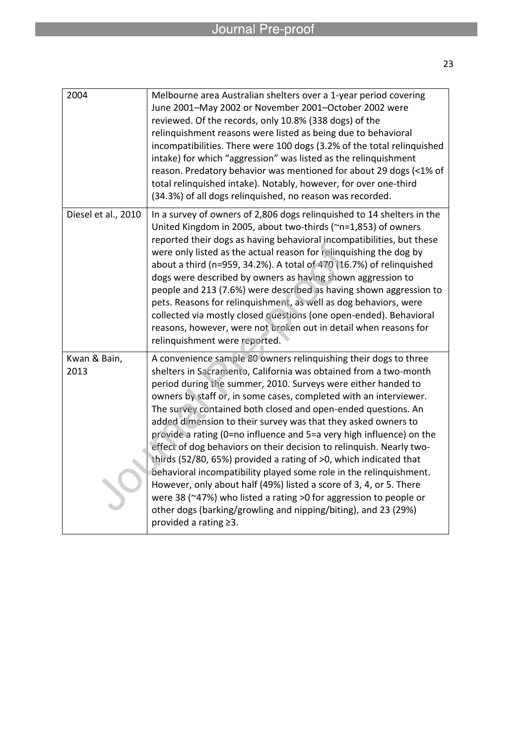| 2004                 | Melbourne area Australian shelters over a 1-year period covering<br>June 2001-May 2002 or November 2001-October 2002 were<br>reviewed. Of the records, only 10.8% (338 dogs) of the<br>relinquishment reasons were listed as being due to behavioral<br>incompatibilities. There were 100 dogs (3.2% of the total relinquished<br>intake) for which "aggression" was listed as the relinquishment<br>reason. Predatory behavior was mentioned for about 29 dogs (<1% of<br>total relinquished intake). Notably, however, for over one-third<br>(34.3%) of all dogs relinquished, no reason was recorded.                                                                                                                                                                                                                                                                                                                                      |
|----------------------|-----------------------------------------------------------------------------------------------------------------------------------------------------------------------------------------------------------------------------------------------------------------------------------------------------------------------------------------------------------------------------------------------------------------------------------------------------------------------------------------------------------------------------------------------------------------------------------------------------------------------------------------------------------------------------------------------------------------------------------------------------------------------------------------------------------------------------------------------------------------------------------------------------------------------------------------------|
| Diesel et al., 2010  | In a survey of owners of 2,806 dogs relinquished to 14 shelters in the<br>United Kingdom in 2005, about two-thirds (~n=1,853) of owners<br>reported their dogs as having behavioral incompatibilities, but these<br>were only listed as the actual reason for relinquishing the dog by<br>about a third (n=959, 34.2%). A total of 470 (16.7%) of relinquished<br>dogs were described by owners as having shown aggression to<br>people and 213 (7.6%) were described as having shown aggression to<br>pets. Reasons for relinquishment, as well as dog behaviors, were<br>collected via mostly closed questions (one open-ended). Behavioral<br>reasons, however, were not broken out in detail when reasons for<br>relinquishment were reported.                                                                                                                                                                                            |
| Kwan & Bain,<br>2013 | A convenience sample 80 owners relinquishing their dogs to three<br>shelters in Sacramento, California was obtained from a two-month<br>period during the summer, 2010. Surveys were either handed to<br>owners by staff or, in some cases, completed with an interviewer.<br>The survey contained both closed and open-ended questions. An<br>added dimension to their survey was that they asked owners to<br>provide a rating (0=no influence and 5=a very high influence) on the<br>effect of dog behaviors on their decision to relinquish. Nearly two-<br>thirds (52/80, 65%) provided a rating of >0, which indicated that<br>behavioral incompatibility played some role in the relinquishment.<br>However, only about half (49%) listed a score of 3, 4, or 5. There<br>were 38 (~47%) who listed a rating >0 for aggression to people or<br>other dogs (barking/growling and nipping/biting), and 23 (29%)<br>provided a rating ≥3. |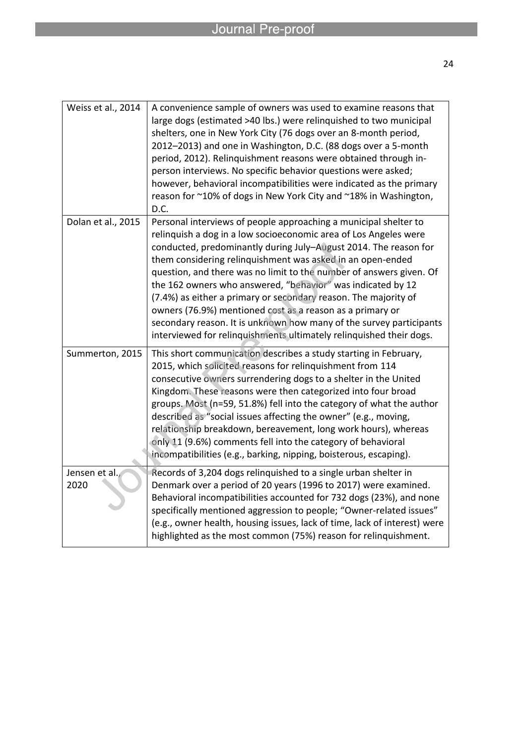| Weiss et al., 2014    | A convenience sample of owners was used to examine reasons that<br>large dogs (estimated >40 lbs.) were relinquished to two municipal<br>shelters, one in New York City (76 dogs over an 8-month period,<br>2012-2013) and one in Washington, D.C. (88 dogs over a 5-month<br>period, 2012). Relinquishment reasons were obtained through in-<br>person interviews. No specific behavior questions were asked;<br>however, behavioral incompatibilities were indicated as the primary<br>reason for ~10% of dogs in New York City and ~18% in Washington,<br>D.C.                                                                                                                          |
|-----------------------|--------------------------------------------------------------------------------------------------------------------------------------------------------------------------------------------------------------------------------------------------------------------------------------------------------------------------------------------------------------------------------------------------------------------------------------------------------------------------------------------------------------------------------------------------------------------------------------------------------------------------------------------------------------------------------------------|
| Dolan et al., 2015    | Personal interviews of people approaching a municipal shelter to<br>relinquish a dog in a low socioeconomic area of Los Angeles were<br>conducted, predominantly during July-August 2014. The reason for<br>them considering relinquishment was asked in an open-ended<br>question, and there was no limit to the number of answers given. Of<br>the 162 owners who answered, "behavior" was indicated by 12<br>(7.4%) as either a primary or secondary reason. The majority of<br>owners (76.9%) mentioned cost as a reason as a primary or<br>secondary reason. It is unknown how many of the survey participants<br>interviewed for relinquishments ultimately relinquished their dogs. |
| Summerton, 2015       | This short communication describes a study starting in February,<br>2015, which solicited reasons for relinquishment from 114<br>consecutive owners surrendering dogs to a shelter in the United<br>Kingdom. These reasons were then categorized into four broad<br>groups. Most (n=59, 51.8%) fell into the category of what the author<br>described as "social issues affecting the owner" (e.g., moving,<br>relationship breakdown, bereavement, long work hours), whereas<br>only 11 (9.6%) comments fell into the category of behavioral<br>incompatibilities (e.g., barking, nipping, boisterous, escaping).                                                                         |
| Jensen et al.<br>2020 | Records of 3,204 dogs relinquished to a single urban shelter in<br>Denmark over a period of 20 years (1996 to 2017) were examined.<br>Behavioral incompatibilities accounted for 732 dogs (23%), and none<br>specifically mentioned aggression to people; "Owner-related issues"<br>(e.g., owner health, housing issues, lack of time, lack of interest) were<br>highlighted as the most common (75%) reason for relinquishment.                                                                                                                                                                                                                                                           |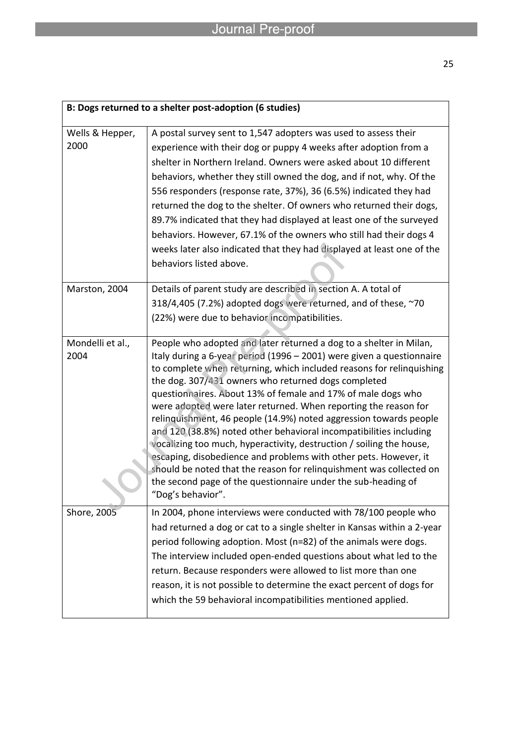| B: Dogs returned to a shelter post-adoption (6 studies) |                                                                                                                                                                                                                                                                                                                                                                                                                                                                                                                                                                                                                                                                                                                                                                                                                                                                   |  |
|---------------------------------------------------------|-------------------------------------------------------------------------------------------------------------------------------------------------------------------------------------------------------------------------------------------------------------------------------------------------------------------------------------------------------------------------------------------------------------------------------------------------------------------------------------------------------------------------------------------------------------------------------------------------------------------------------------------------------------------------------------------------------------------------------------------------------------------------------------------------------------------------------------------------------------------|--|
| Wells & Hepper,<br>2000                                 | A postal survey sent to 1,547 adopters was used to assess their<br>experience with their dog or puppy 4 weeks after adoption from a<br>shelter in Northern Ireland. Owners were asked about 10 different<br>behaviors, whether they still owned the dog, and if not, why. Of the<br>556 responders (response rate, 37%), 36 (6.5%) indicated they had<br>returned the dog to the shelter. Of owners who returned their dogs,<br>89.7% indicated that they had displayed at least one of the surveyed<br>behaviors. However, 67.1% of the owners who still had their dogs 4<br>weeks later also indicated that they had displayed at least one of the<br>behaviors listed above.                                                                                                                                                                                   |  |
| Marston, 2004                                           | Details of parent study are described in section A. A total of<br>318/4,405 (7.2%) adopted dogs were returned, and of these, ~70<br>(22%) were due to behavior incompatibilities.                                                                                                                                                                                                                                                                                                                                                                                                                                                                                                                                                                                                                                                                                 |  |
| Mondelli et al.,<br>2004                                | People who adopted and later returned a dog to a shelter in Milan,<br>Italy during a 6-year period (1996 - 2001) were given a questionnaire<br>to complete when returning, which included reasons for relinquishing<br>the dog. 307/431 owners who returned dogs completed<br>questionnaires. About 13% of female and 17% of male dogs who<br>were adopted were later returned. When reporting the reason for<br>relinquishment, 46 people (14.9%) noted aggression towards people<br>and 120 (38.8%) noted other behavioral incompatibilities including<br>Vocalizing too much, hyperactivity, destruction / soiling the house,<br>escaping, disobedience and problems with other pets. However, it<br>should be noted that the reason for relinguishment was collected on<br>the second page of the questionnaire under the sub-heading of<br>"Dog's behavior". |  |
| Shore, 2005                                             | In 2004, phone interviews were conducted with 78/100 people who<br>had returned a dog or cat to a single shelter in Kansas within a 2-year<br>period following adoption. Most (n=82) of the animals were dogs.<br>The interview included open-ended questions about what led to the<br>return. Because responders were allowed to list more than one<br>reason, it is not possible to determine the exact percent of dogs for<br>which the 59 behavioral incompatibilities mentioned applied.                                                                                                                                                                                                                                                                                                                                                                     |  |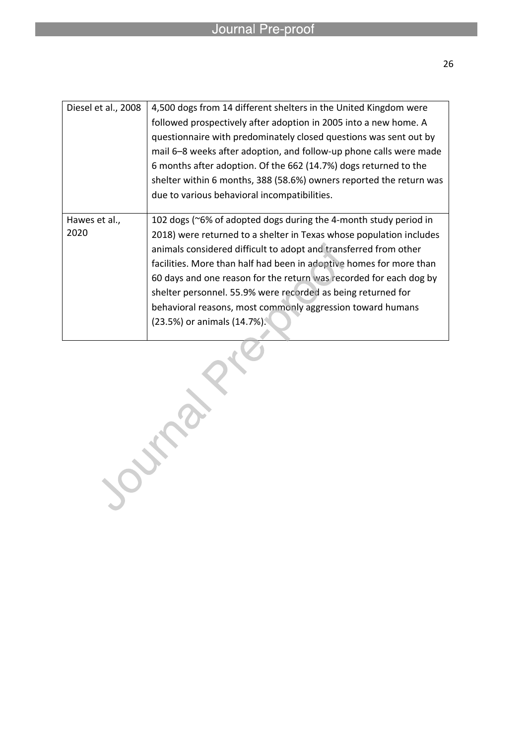| Diesel et al., 2008   | 4,500 dogs from 14 different shelters in the United Kingdom were<br>followed prospectively after adoption in 2005 into a new home. A<br>questionnaire with predominately closed questions was sent out by<br>mail 6–8 weeks after adoption, and follow-up phone calls were made<br>6 months after adoption. Of the 662 (14.7%) dogs returned to the<br>shelter within 6 months, 388 (58.6%) owners reported the return was                                                                                            |
|-----------------------|-----------------------------------------------------------------------------------------------------------------------------------------------------------------------------------------------------------------------------------------------------------------------------------------------------------------------------------------------------------------------------------------------------------------------------------------------------------------------------------------------------------------------|
|                       | due to various behavioral incompatibilities.                                                                                                                                                                                                                                                                                                                                                                                                                                                                          |
| Hawes et al.,<br>2020 | 102 dogs (~6% of adopted dogs during the 4-month study period in<br>2018) were returned to a shelter in Texas whose population includes<br>animals considered difficult to adopt and transferred from other<br>facilities. More than half had been in adoptive homes for more than<br>60 days and one reason for the return was recorded for each dog by<br>shelter personnel. 55.9% were recorded as being returned for<br>behavioral reasons, most commonly aggression toward humans<br>(23.5%) or animals (14.7%). |

Journal Pro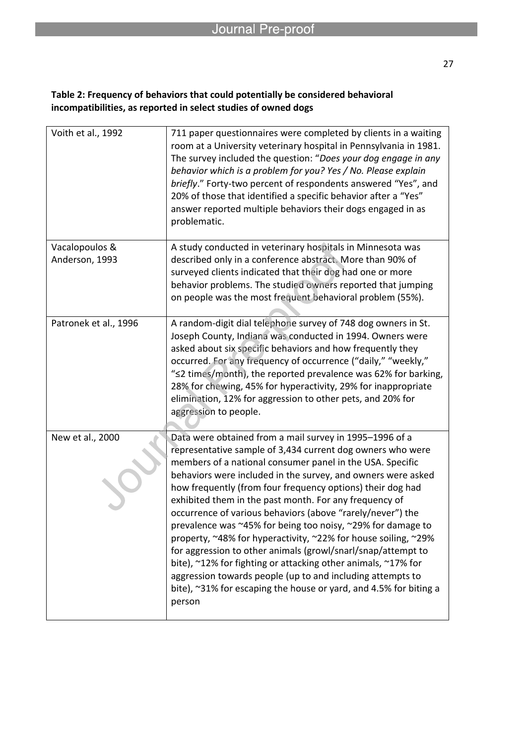| Voith et al., 1992               | 711 paper questionnaires were completed by clients in a waiting<br>room at a University veterinary hospital in Pennsylvania in 1981.<br>The survey included the question: "Does your dog engage in any<br>behavior which is a problem for you? Yes / No. Please explain<br>briefly." Forty-two percent of respondents answered "Yes", and<br>20% of those that identified a specific behavior after a "Yes"<br>answer reported multiple behaviors their dogs engaged in as<br>problematic.                                                                                                                                                                                                                                                                                                                                                                      |
|----------------------------------|-----------------------------------------------------------------------------------------------------------------------------------------------------------------------------------------------------------------------------------------------------------------------------------------------------------------------------------------------------------------------------------------------------------------------------------------------------------------------------------------------------------------------------------------------------------------------------------------------------------------------------------------------------------------------------------------------------------------------------------------------------------------------------------------------------------------------------------------------------------------|
| Vacalopoulos &<br>Anderson, 1993 | A study conducted in veterinary hospitals in Minnesota was<br>described only in a conference abstract. More than 90% of                                                                                                                                                                                                                                                                                                                                                                                                                                                                                                                                                                                                                                                                                                                                         |
|                                  | surveyed clients indicated that their dog had one or more<br>behavior problems. The studied owners reported that jumping                                                                                                                                                                                                                                                                                                                                                                                                                                                                                                                                                                                                                                                                                                                                        |
|                                  | on people was the most frequent behavioral problem (55%).                                                                                                                                                                                                                                                                                                                                                                                                                                                                                                                                                                                                                                                                                                                                                                                                       |
| Patronek et al., 1996            | A random-digit dial telephone survey of 748 dog owners in St.<br>Joseph County, Indiana was conducted in 1994. Owners were<br>asked about six specific behaviors and how frequently they<br>occurred. For any frequency of occurrence ("daily," "weekly,"<br>"<2 times/month), the reported prevalence was 62% for barking,<br>28% for chewing, 45% for hyperactivity, 29% for inappropriate<br>elimination, 12% for aggression to other pets, and 20% for<br>aggression to people.                                                                                                                                                                                                                                                                                                                                                                             |
| New et al., 2000                 | Data were obtained from a mail survey in 1995-1996 of a<br>representative sample of 3,434 current dog owners who were<br>members of a national consumer panel in the USA. Specific<br>behaviors were included in the survey, and owners were asked<br>how frequently (from four frequency options) their dog had<br>exhibited them in the past month. For any frequency of<br>occurrence of various behaviors (above "rarely/never") the<br>prevalence was $\approx$ 45% for being too noisy, $\approx$ 29% for damage to<br>property, ~48% for hyperactivity, ~22% for house soiling, ~29%<br>for aggression to other animals (growl/snarl/snap/attempt to<br>bite), ~12% for fighting or attacking other animals, ~17% for<br>aggression towards people (up to and including attempts to<br>bite), ~31% for escaping the house or yard, and 4.5% for biting a |
|                                  | person                                                                                                                                                                                                                                                                                                                                                                                                                                                                                                                                                                                                                                                                                                                                                                                                                                                          |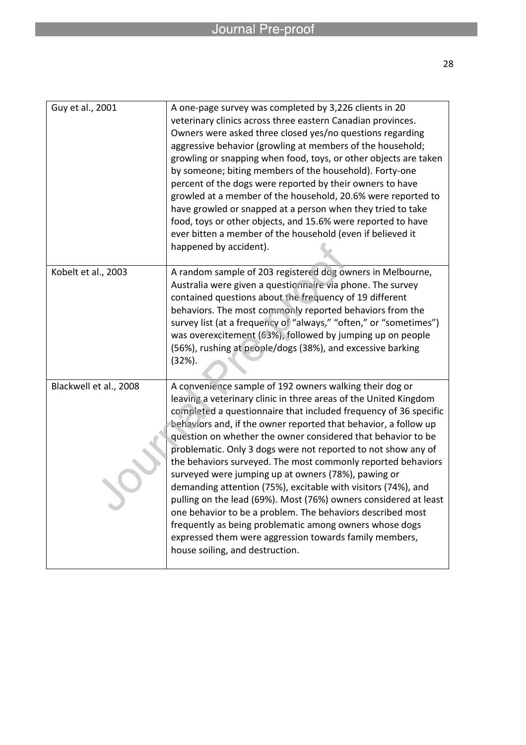| Guy et al., 2001       | A one-page survey was completed by 3,226 clients in 20<br>veterinary clinics across three eastern Canadian provinces.<br>Owners were asked three closed yes/no questions regarding<br>aggressive behavior (growling at members of the household;<br>growling or snapping when food, toys, or other objects are taken<br>by someone; biting members of the household). Forty-one<br>percent of the dogs were reported by their owners to have<br>growled at a member of the household, 20.6% were reported to<br>have growled or snapped at a person when they tried to take<br>food, toys or other objects, and 15.6% were reported to have<br>ever bitten a member of the household (even if believed it<br>happened by accident).                                                                                                                                                   |
|------------------------|---------------------------------------------------------------------------------------------------------------------------------------------------------------------------------------------------------------------------------------------------------------------------------------------------------------------------------------------------------------------------------------------------------------------------------------------------------------------------------------------------------------------------------------------------------------------------------------------------------------------------------------------------------------------------------------------------------------------------------------------------------------------------------------------------------------------------------------------------------------------------------------|
| Kobelt et al., 2003    | A random sample of 203 registered dog owners in Melbourne,<br>Australia were given a questionnaire via phone. The survey<br>contained questions about the frequency of 19 different<br>behaviors. The most commonly reported behaviors from the<br>survey list (at a frequency of "always," "often," or "sometimes")<br>was overexcitement (63%), followed by jumping up on people<br>(56%), rushing at people/dogs (38%), and excessive barking<br>$(32%)$ .                                                                                                                                                                                                                                                                                                                                                                                                                         |
| Blackwell et al., 2008 | A convenience sample of 192 owners walking their dog or<br>leaving a veterinary clinic in three areas of the United Kingdom<br>completed a questionnaire that included frequency of 36 specific<br>behaviors and, if the owner reported that behavior, a follow up<br>question on whether the owner considered that behavior to be<br>problematic. Only 3 dogs were not reported to not show any of<br>the behaviors surveyed. The most commonly reported behaviors<br>surveyed were jumping up at owners (78%), pawing or<br>demanding attention (75%), excitable with visitors (74%), and<br>pulling on the lead (69%). Most (76%) owners considered at least<br>one behavior to be a problem. The behaviors described most<br>frequently as being problematic among owners whose dogs<br>expressed them were aggression towards family members,<br>house soiling, and destruction. |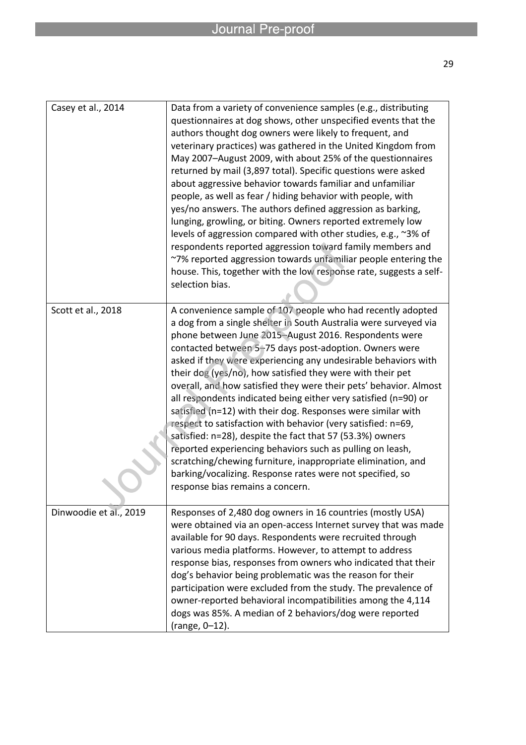| Casey et al., 2014     | Data from a variety of convenience samples (e.g., distributing<br>questionnaires at dog shows, other unspecified events that the<br>authors thought dog owners were likely to frequent, and<br>veterinary practices) was gathered in the United Kingdom from<br>May 2007-August 2009, with about 25% of the questionnaires<br>returned by mail (3,897 total). Specific questions were asked<br>about aggressive behavior towards familiar and unfamiliar<br>people, as well as fear / hiding behavior with people, with<br>yes/no answers. The authors defined aggression as barking,<br>lunging, growling, or biting. Owners reported extremely low<br>levels of aggression compared with other studies, e.g., ~3% of<br>respondents reported aggression toward family members and<br>~7% reported aggression towards unfamiliar people entering the<br>house. This, together with the low response rate, suggests a self-<br>selection bias.        |
|------------------------|-------------------------------------------------------------------------------------------------------------------------------------------------------------------------------------------------------------------------------------------------------------------------------------------------------------------------------------------------------------------------------------------------------------------------------------------------------------------------------------------------------------------------------------------------------------------------------------------------------------------------------------------------------------------------------------------------------------------------------------------------------------------------------------------------------------------------------------------------------------------------------------------------------------------------------------------------------|
| Scott et al., 2018     | A convenience sample of 107 people who had recently adopted<br>a dog from a single shelter in South Australia were surveyed via<br>phone between June 2015-August 2016. Respondents were<br>contacted between 5-75 days post-adoption. Owners were<br>asked if they were experiencing any undesirable behaviors with<br>their dog (yes/no), how satisfied they were with their pet<br>overall, and how satisfied they were their pets' behavior. Almost<br>all respondents indicated being either very satisfied (n=90) or<br>satisfied (n=12) with their dog. Responses were similar with<br>respect to satisfaction with behavior (very satisfied: n=69,<br>satisfied: n=28), despite the fact that 57 (53.3%) owners<br>reported experiencing behaviors such as pulling on leash,<br>scratching/chewing furniture, inappropriate elimination, and<br>barking/vocalizing. Response rates were not specified, so<br>response bias remains a concern. |
| Dinwoodie et al., 2019 | Responses of 2,480 dog owners in 16 countries (mostly USA)<br>were obtained via an open-access Internet survey that was made<br>available for 90 days. Respondents were recruited through<br>various media platforms. However, to attempt to address<br>response bias, responses from owners who indicated that their<br>dog's behavior being problematic was the reason for their<br>participation were excluded from the study. The prevalence of<br>owner-reported behavioral incompatibilities among the 4,114<br>dogs was 85%. A median of 2 behaviors/dog were reported<br>(range, 0-12).                                                                                                                                                                                                                                                                                                                                                       |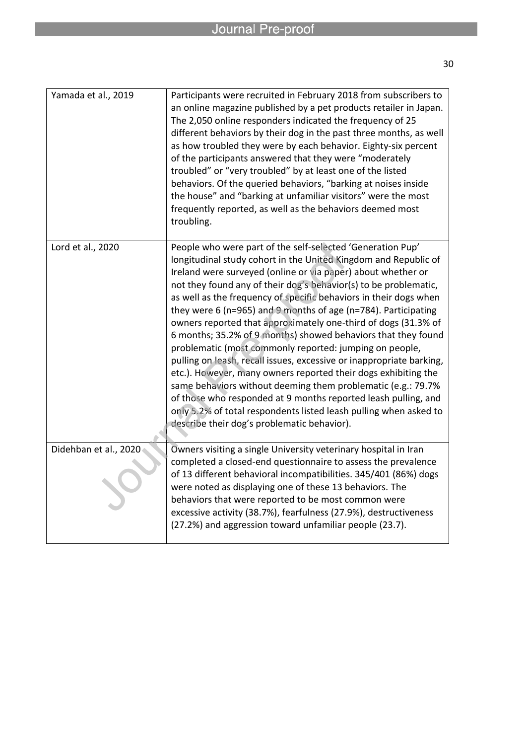| Yamada et al., 2019   | Participants were recruited in February 2018 from subscribers to<br>an online magazine published by a pet products retailer in Japan.<br>The 2,050 online responders indicated the frequency of 25<br>different behaviors by their dog in the past three months, as well<br>as how troubled they were by each behavior. Eighty-six percent<br>of the participants answered that they were "moderately<br>troubled" or "very troubled" by at least one of the listed<br>behaviors. Of the queried behaviors, "barking at noises inside<br>the house" and "barking at unfamiliar visitors" were the most<br>frequently reported, as well as the behaviors deemed most<br>troubling.                                                                                                                                                                                                                                                                                                                      |
|-----------------------|--------------------------------------------------------------------------------------------------------------------------------------------------------------------------------------------------------------------------------------------------------------------------------------------------------------------------------------------------------------------------------------------------------------------------------------------------------------------------------------------------------------------------------------------------------------------------------------------------------------------------------------------------------------------------------------------------------------------------------------------------------------------------------------------------------------------------------------------------------------------------------------------------------------------------------------------------------------------------------------------------------|
| Lord et al., 2020     | People who were part of the self-selected 'Generation Pup'<br>longitudinal study cohort in the United Kingdom and Republic of<br>Ireland were surveyed (online or via paper) about whether or<br>not they found any of their dog's behavior(s) to be problematic,<br>as well as the frequency of specific behaviors in their dogs when<br>they were 6 (n=965) and 9 months of age (n=784). Participating<br>owners reported that approximately one-third of dogs (31.3% of<br>6 months; 35.2% of 9 months) showed behaviors that they found<br>problematic (most commonly reported: jumping on people,<br>pulling on leash, recall issues, excessive or inappropriate barking,<br>etc.). However, many owners reported their dogs exhibiting the<br>same behaviors without deeming them problematic (e.g.: 79.7%<br>of those who responded at 9 months reported leash pulling, and<br>only 5.2% of total respondents listed leash pulling when asked to<br>describe their dog's problematic behavior). |
| Didehban et al., 2020 | Owners visiting a single University veterinary hospital in Iran<br>completed a closed-end questionnaire to assess the prevalence<br>of 13 different behavioral incompatibilities. 345/401 (86%) dogs<br>were noted as displaying one of these 13 behaviors. The<br>behaviors that were reported to be most common were<br>excessive activity (38.7%), fearfulness (27.9%), destructiveness<br>(27.2%) and aggression toward unfamiliar people (23.7).                                                                                                                                                                                                                                                                                                                                                                                                                                                                                                                                                  |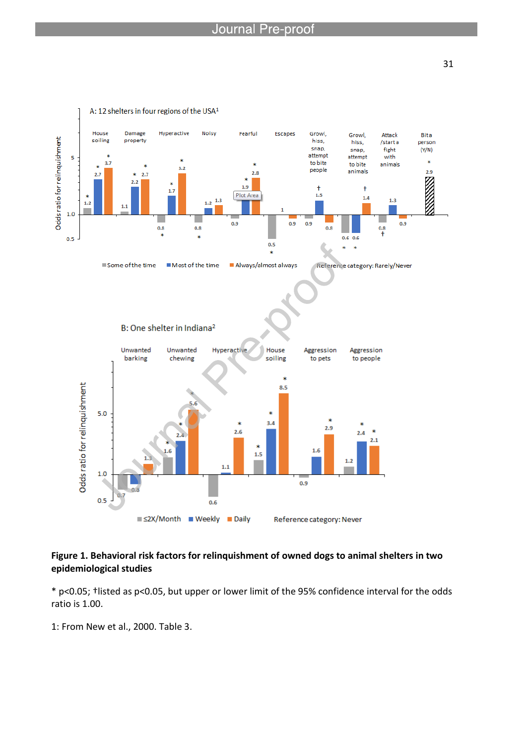

#### **Figure 1. Behavioral risk factors for relinquishment of owned dogs to animal shelters in two epidemiological studies**

\* p<0.05; †listed as p<0.05, but upper or lower limit of the 95% confidence interval for the odds ratio is 1.00.

1: From New et al., 2000. Table 3.